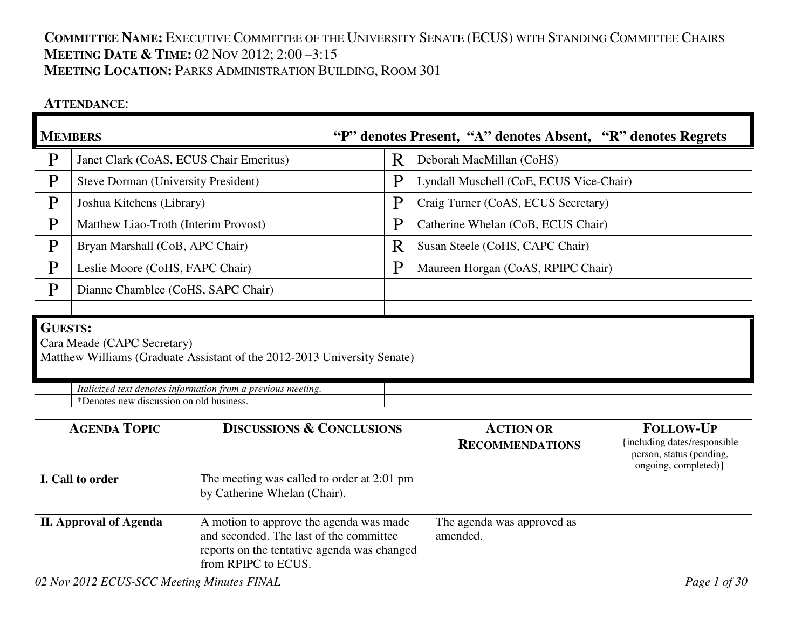# **COMMITTEE NAME:** <sup>E</sup>XECUTIVE COMMITTEE OF THE UNIVERSITY SENATE (ECUS) WITH STANDING COMMITTEE CHAIRS**MEETING DATE & <sup>T</sup>IME:** <sup>02</sup> <sup>N</sup>OV 2012; 2:00 –3:15 **MEETING LOCATION:** <sup>P</sup>ARKS ADMINISTRATION BUILDING, <sup>R</sup>OOM <sup>301</sup>

## **ATTENDANCE**:

|                                                                                                                           | <b>MEMBERS</b>                                                                                           | "P" denotes Present, "A" denotes Absent, "R" denotes Regrets |                                         |  |  |
|---------------------------------------------------------------------------------------------------------------------------|----------------------------------------------------------------------------------------------------------|--------------------------------------------------------------|-----------------------------------------|--|--|
| P                                                                                                                         | Janet Clark (CoAS, ECUS Chair Emeritus)                                                                  | R                                                            | Deborah MacMillan (CoHS)                |  |  |
| P                                                                                                                         | Steve Dorman (University President)                                                                      | P                                                            | Lyndall Muschell (CoE, ECUS Vice-Chair) |  |  |
| P                                                                                                                         | Joshua Kitchens (Library)                                                                                | P                                                            | Craig Turner (CoAS, ECUS Secretary)     |  |  |
| P                                                                                                                         | Matthew Liao-Troth (Interim Provost)                                                                     | P                                                            | Catherine Whelan (CoB, ECUS Chair)      |  |  |
| P                                                                                                                         | Bryan Marshall (CoB, APC Chair)                                                                          | R                                                            | Susan Steele (CoHS, CAPC Chair)         |  |  |
| P                                                                                                                         | Leslie Moore (CoHS, FAPC Chair)                                                                          | P                                                            | Maureen Horgan (CoAS, RPIPC Chair)      |  |  |
| P                                                                                                                         | Dianne Chamblee (CoHS, SAPC Chair)                                                                       |                                                              |                                         |  |  |
|                                                                                                                           |                                                                                                          |                                                              |                                         |  |  |
| <b>GUESTS:</b><br>Cara Meade (CAPC Secretary)<br>Matthew Williams (Graduate Assistant of the 2012-2013 University Senate) |                                                                                                          |                                                              |                                         |  |  |
|                                                                                                                           | Italicized text denotes information from a previous meeting.<br>*Denotes new discussion on old business. |                                                              |                                         |  |  |

| <b>AGENDA TOPIC</b>           | <b>DISCUSSIONS &amp; CONCLUSIONS</b>                                                                                                                     | <b>ACTION OR</b><br><b>RECOMMENDATIONS</b> | <b>FOLLOW-UP</b><br>including dates/responsible<br>person, status (pending,<br>ongoing, completed) } |
|-------------------------------|----------------------------------------------------------------------------------------------------------------------------------------------------------|--------------------------------------------|------------------------------------------------------------------------------------------------------|
| I. Call to order              | The meeting was called to order at 2:01 pm<br>by Catherine Whelan (Chair).                                                                               |                                            |                                                                                                      |
| <b>II. Approval of Agenda</b> | A motion to approve the agenda was made<br>and seconded. The last of the committee<br>reports on the tentative agenda was changed<br>from RPIPC to ECUS. | The agenda was approved as<br>amended.     |                                                                                                      |

*02 Nov 2012 ECUS-SCC Meeting Minutes FINAL Page 1 of 30*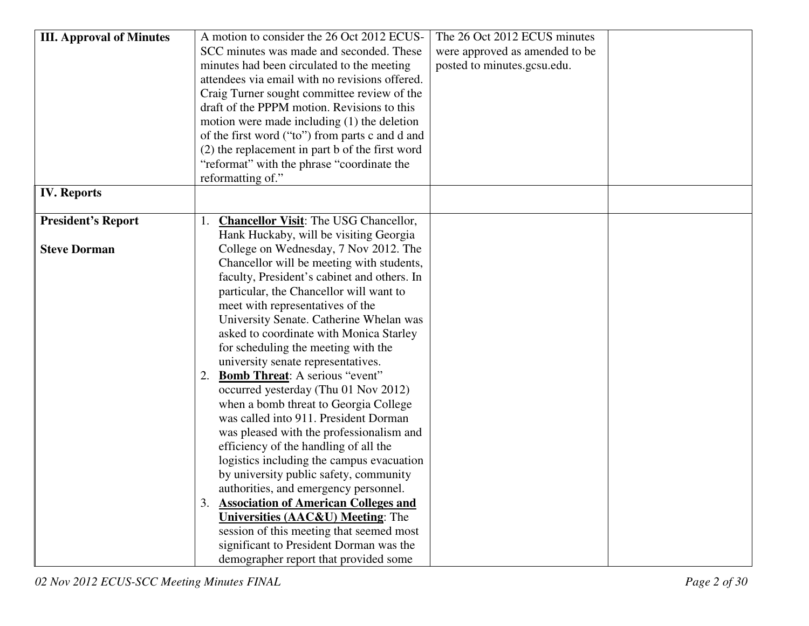| <b>III. Approval of Minutes</b> | A motion to consider the 26 Oct 2012 ECUS-      | The 26 Oct 2012 ECUS minutes   |
|---------------------------------|-------------------------------------------------|--------------------------------|
|                                 | SCC minutes was made and seconded. These        | were approved as amended to be |
|                                 | minutes had been circulated to the meeting      | posted to minutes.gcsu.edu.    |
|                                 | attendees via email with no revisions offered.  |                                |
|                                 | Craig Turner sought committee review of the     |                                |
|                                 | draft of the PPPM motion. Revisions to this     |                                |
|                                 | motion were made including $(1)$ the deletion   |                                |
|                                 | of the first word ("to") from parts c and d and |                                |
|                                 | (2) the replacement in part b of the first word |                                |
|                                 | "reformat" with the phrase "coordinate the      |                                |
|                                 | reformatting of."                               |                                |
| <b>IV. Reports</b>              |                                                 |                                |
|                                 |                                                 |                                |
| <b>President's Report</b>       | <b>Chancellor Visit:</b> The USG Chancellor,    |                                |
|                                 | Hank Huckaby, will be visiting Georgia          |                                |
| <b>Steve Dorman</b>             | College on Wednesday, 7 Nov 2012. The           |                                |
|                                 | Chancellor will be meeting with students,       |                                |
|                                 | faculty, President's cabinet and others. In     |                                |
|                                 | particular, the Chancellor will want to         |                                |
|                                 | meet with representatives of the                |                                |
|                                 | University Senate. Catherine Whelan was         |                                |
|                                 | asked to coordinate with Monica Starley         |                                |
|                                 | for scheduling the meeting with the             |                                |
|                                 | university senate representatives.              |                                |
|                                 | <b>Bomb Threat:</b> A serious "event"<br>2.     |                                |
|                                 | occurred yesterday (Thu 01 Nov 2012)            |                                |
|                                 | when a bomb threat to Georgia College           |                                |
|                                 | was called into 911. President Dorman           |                                |
|                                 | was pleased with the professionalism and        |                                |
|                                 | efficiency of the handling of all the           |                                |
|                                 | logistics including the campus evacuation       |                                |
|                                 | by university public safety, community          |                                |
|                                 | authorities, and emergency personnel.           |                                |
|                                 | 3. Association of American Colleges and         |                                |
|                                 | <b>Universities (AAC&amp;U) Meeting: The</b>    |                                |
|                                 | session of this meeting that seemed most        |                                |
|                                 | significant to President Dorman was the         |                                |
|                                 | demographer report that provided some           |                                |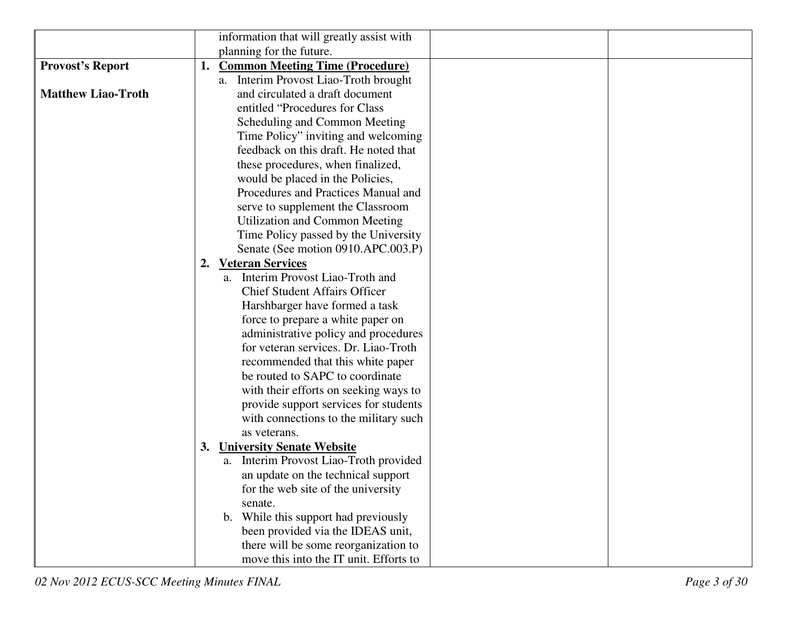|                           | information that will greatly assist with    |
|---------------------------|----------------------------------------------|
|                           | planning for the future.                     |
| <b>Provost's Report</b>   | <b>Common Meeting Time (Procedure)</b><br>1. |
|                           | a. Interim Provost Liao-Troth brought        |
| <b>Matthew Liao-Troth</b> | and circulated a draft document              |
|                           | entitled "Procedures for Class"              |
|                           | Scheduling and Common Meeting                |
|                           | Time Policy" inviting and welcoming          |
|                           | feedback on this draft. He noted that        |
|                           | these procedures, when finalized,            |
|                           | would be placed in the Policies,             |
|                           | Procedures and Practices Manual and          |
|                           | serve to supplement the Classroom            |
|                           | Utilization and Common Meeting               |
|                           | Time Policy passed by the University         |
|                           | Senate (See motion 0910.APC.003.P)           |
|                           | 2. Veteran Services                          |
|                           | a. Interim Provost Liao-Troth and            |
|                           | <b>Chief Student Affairs Officer</b>         |
|                           | Harshbarger have formed a task               |
|                           | force to prepare a white paper on            |
|                           | administrative policy and procedures         |
|                           | for veteran services. Dr. Liao-Troth         |
|                           | recommended that this white paper            |
|                           | be routed to SAPC to coordinate              |
|                           | with their efforts on seeking ways to        |
|                           | provide support services for students        |
|                           | with connections to the military such        |
|                           | as veterans.                                 |
|                           | <b>University Senate Website</b><br>3.       |
|                           | a. Interim Provost Liao-Troth provided       |
|                           | an update on the technical support           |
|                           | for the web site of the university           |
|                           | senate.                                      |
|                           | b. While this support had previously         |
|                           | been provided via the IDEAS unit,            |
|                           | there will be some reorganization to         |
|                           | move this into the IT unit. Efforts to       |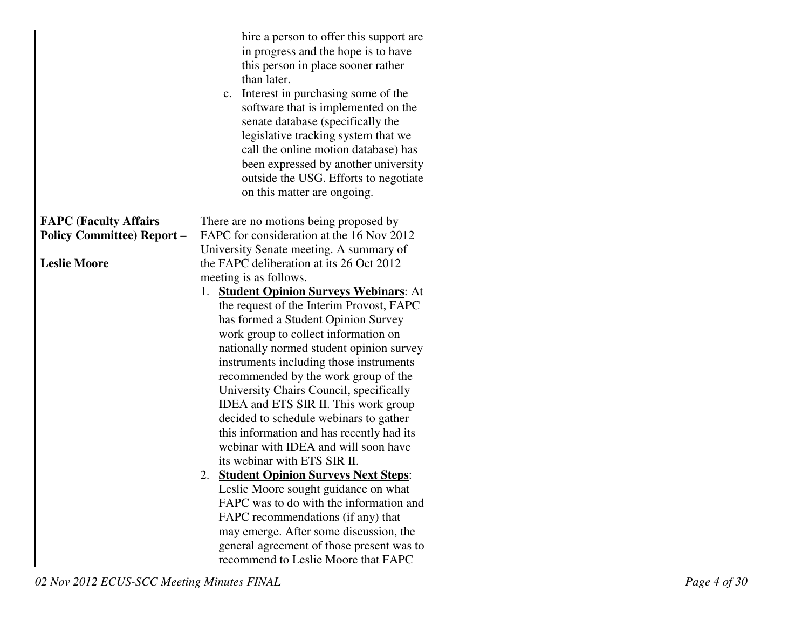|                                  | hire a person to offer this support are   |
|----------------------------------|-------------------------------------------|
|                                  | in progress and the hope is to have       |
|                                  | this person in place sooner rather        |
|                                  | than later.                               |
|                                  | Interest in purchasing some of the        |
|                                  | software that is implemented on the       |
|                                  | senate database (specifically the         |
|                                  | legislative tracking system that we       |
|                                  | call the online motion database) has      |
|                                  | been expressed by another university      |
|                                  |                                           |
|                                  | outside the USG. Efforts to negotiate     |
|                                  | on this matter are ongoing.               |
|                                  |                                           |
| <b>FAPC (Faculty Affairs</b>     | There are no motions being proposed by    |
| <b>Policy Committee) Report-</b> | FAPC for consideration at the 16 Nov 2012 |
|                                  | University Senate meeting. A summary of   |
| <b>Leslie Moore</b>              | the FAPC deliberation at its 26 Oct 2012  |
|                                  | meeting is as follows.                    |
|                                  | 1. Student Opinion Surveys Webinars: At   |
|                                  | the request of the Interim Provost, FAPC  |
|                                  | has formed a Student Opinion Survey       |
|                                  | work group to collect information on      |
|                                  | nationally normed student opinion survey  |
|                                  | instruments including those instruments   |
|                                  | recommended by the work group of the      |
|                                  | University Chairs Council, specifically   |
|                                  | IDEA and ETS SIR II. This work group      |
|                                  | decided to schedule webinars to gather    |
|                                  | this information and has recently had its |
|                                  | webinar with IDEA and will soon have      |
|                                  | its webinar with ETS SIR II.              |
|                                  | 2. Student Opinion Surveys Next Steps:    |
|                                  | Leslie Moore sought guidance on what      |
|                                  | FAPC was to do with the information and   |
|                                  | FAPC recommendations (if any) that        |
|                                  | may emerge. After some discussion, the    |
|                                  | general agreement of those present was to |
|                                  | recommend to Leslie Moore that FAPC       |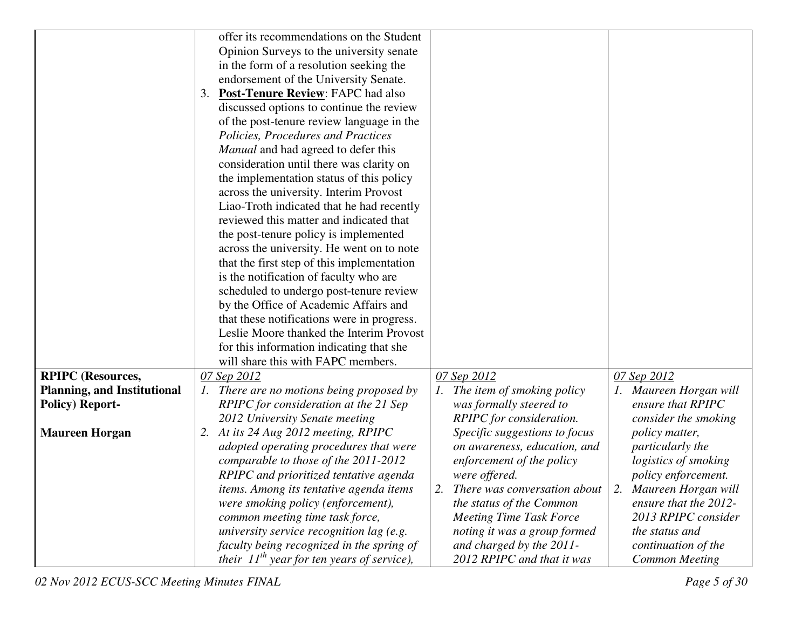|                                    | offer its recommendations on the Student        |                                |                            |
|------------------------------------|-------------------------------------------------|--------------------------------|----------------------------|
|                                    | Opinion Surveys to the university senate        |                                |                            |
|                                    | in the form of a resolution seeking the         |                                |                            |
|                                    | endorsement of the University Senate.           |                                |                            |
|                                    | 3. Post-Tenure Review: FAPC had also            |                                |                            |
|                                    | discussed options to continue the review        |                                |                            |
|                                    | of the post-tenure review language in the       |                                |                            |
|                                    | Policies, Procedures and Practices              |                                |                            |
|                                    | Manual and had agreed to defer this             |                                |                            |
|                                    | consideration until there was clarity on        |                                |                            |
|                                    |                                                 |                                |                            |
|                                    | the implementation status of this policy        |                                |                            |
|                                    | across the university. Interim Provost          |                                |                            |
|                                    | Liao-Troth indicated that he had recently       |                                |                            |
|                                    | reviewed this matter and indicated that         |                                |                            |
|                                    | the post-tenure policy is implemented           |                                |                            |
|                                    | across the university. He went on to note       |                                |                            |
|                                    | that the first step of this implementation      |                                |                            |
|                                    | is the notification of faculty who are          |                                |                            |
|                                    | scheduled to undergo post-tenure review         |                                |                            |
|                                    | by the Office of Academic Affairs and           |                                |                            |
|                                    | that these notifications were in progress.      |                                |                            |
|                                    | Leslie Moore thanked the Interim Provost        |                                |                            |
|                                    | for this information indicating that she        |                                |                            |
|                                    | will share this with FAPC members.              |                                |                            |
| <b>RPIPC</b> (Resources,           | 07 Sep 2012                                     | 07 Sep 2012                    | 07 Sep 2012                |
| <b>Planning, and Institutional</b> | 1. There are no motions being proposed by       | 1. The item of smoking policy  | 1. Maureen Horgan will     |
| <b>Policy) Report-</b>             | RPIPC for consideration at the 21 Sep           | was formally steered to        | ensure that RPIPC          |
|                                    | 2012 University Senate meeting                  | RPIPC for consideration.       | consider the smoking       |
| <b>Maureen Horgan</b>              | 2. At its 24 Aug 2012 meeting, RPIPC            | Specific suggestions to focus  | <i>policy matter,</i>      |
|                                    | adopted operating procedures that were          | on awareness, education, and   | particularly the           |
|                                    | comparable to those of the 2011-2012            | enforcement of the policy      | logistics of smoking       |
|                                    | RPIPC and prioritized tentative agenda          | were offered.                  | <i>policy enforcement.</i> |
|                                    | items. Among its tentative agenda items         | There was conversation about   | 2. Maureen Horgan will     |
|                                    | were smoking policy (enforcement),              | the status of the Common       | ensure that the 2012-      |
|                                    | common meeting time task force,                 | <b>Meeting Time Task Force</b> | 2013 RPIPC consider        |
|                                    | university service recognition lag (e.g.        | noting it was a group formed   | the status and             |
|                                    | faculty being recognized in the spring of       | and charged by the 2011-       | continuation of the        |
|                                    | their $11^{th}$ year for ten years of service), | 2012 RPIPC and that it was     | <b>Common Meeting</b>      |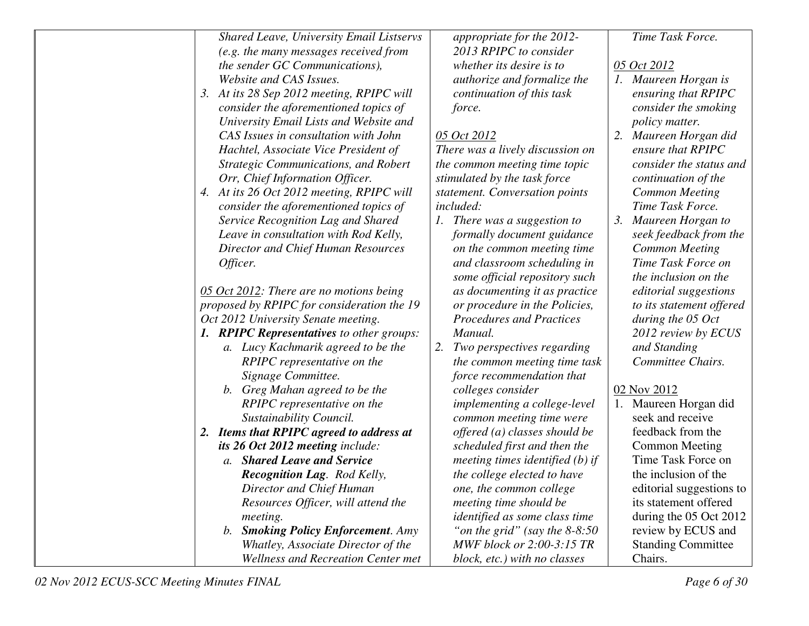| <b>Shared Leave, University Email Listservs</b> | appropriate for the 2012-         | Time Task Force.               |
|-------------------------------------------------|-----------------------------------|--------------------------------|
| (e.g. the many messages received from           | 2013 RPIPC to consider            |                                |
| the sender GC Communications),                  | whether its desire is to          | 05 Oct 2012                    |
| Website and CAS Issues.                         | authorize and formalize the       | 1. Maureen Horgan is           |
| 3. At its 28 Sep 2012 meeting, RPIPC will       | continuation of this task         | ensuring that RPIPC            |
| consider the aforementioned topics of           | force.                            | consider the smoking           |
| University Email Lists and Website and          |                                   | <i>policy matter.</i>          |
| CAS Issues in consultation with John            | 05 Oct 2012                       | 2. Maureen Horgan did          |
| Hachtel, Associate Vice President of            | There was a lively discussion on  | ensure that RPIPC              |
| <b>Strategic Communications, and Robert</b>     | the common meeting time topic     | consider the status and        |
| Orr, Chief Information Officer.                 | stimulated by the task force      | continuation of the            |
| 4. At its 26 Oct 2012 meeting, RPIPC will       | statement. Conversation points    | <b>Common Meeting</b>          |
| consider the aforementioned topics of           | <i>included:</i>                  | Time Task Force.               |
| Service Recognition Lag and Shared              | 1. There was a suggestion to      | Maureen Horgan to<br>$\beta$ . |
| Leave in consultation with Rod Kelly,           | formally document guidance        | seek feedback from the         |
| <b>Director and Chief Human Resources</b>       | on the common meeting time        | <b>Common Meeting</b>          |
| Officer.                                        | and classroom scheduling in       | Time Task Force on             |
|                                                 | some official repository such     | the inclusion on the           |
| 05 Oct 2012: There are no motions being         | as documenting it as practice     | editorial suggestions          |
| proposed by RPIPC for consideration the 19      | or procedure in the Policies,     | to its statement offered       |
| Oct 2012 University Senate meeting.             | <b>Procedures and Practices</b>   | during the 05 Oct              |
| 1. RPIPC Representatives to other groups:       | Manual.                           | 2012 review by ECUS            |
| a. Lucy Kachmarik agreed to be the              | 2. Two perspectives regarding     | and Standing                   |
| RPIPC representative on the                     | the common meeting time task      | Committee Chairs.              |
| Signage Committee.                              | force recommendation that         |                                |
| b. Greg Mahan agreed to be the                  | colleges consider                 | 02 Nov 2012                    |
| RPIPC representative on the                     | implementing a college-level      | 1. Maureen Horgan did          |
| Sustainability Council.                         | common meeting time were          | seek and receive               |
| 2. Items that RPIPC agreed to address at        | offered (a) classes should be     | feedback from the              |
| its 26 Oct 2012 meeting include:                | scheduled first and then the      | <b>Common Meeting</b>          |
| a. Shared Leave and Service                     | meeting times identified $(b)$ if | Time Task Force on             |
| Recognition Lag. Rod Kelly,                     | the college elected to have       | the inclusion of the           |
| Director and Chief Human                        | one, the common college           | editorial suggestions to       |
| Resources Officer, will attend the              | meeting time should be            | its statement offered          |
| meeting.                                        | identified as some class time     | during the 05 Oct 2012         |
| b. Smoking Policy Enforcement. Amy              | "on the grid" (say the $8-8:50$   | review by ECUS and             |
| Whatley, Associate Director of the              | MWF block or 2:00-3:15 TR         | <b>Standing Committee</b>      |
| <b>Wellness and Recreation Center met</b>       | block, etc.) with no classes      | Chairs.                        |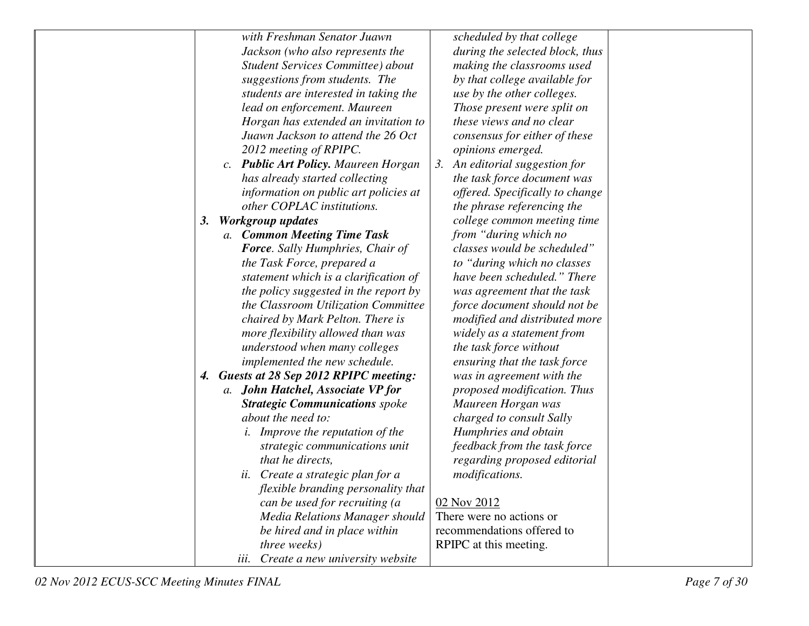|    | with Freshman Senator Juawn             | scheduled by that college       |  |
|----|-----------------------------------------|---------------------------------|--|
|    | Jackson (who also represents the        | during the selected block, thus |  |
|    | Student Services Committee) about       | making the classrooms used      |  |
|    | suggestions from students. The          | by that college available for   |  |
|    | students are interested in taking the   | use by the other colleges.      |  |
|    | lead on enforcement. Maureen            | Those present were split on     |  |
|    | Horgan has extended an invitation to    | these views and no clear        |  |
|    | Juawn Jackson to attend the 26 Oct      | consensus for either of these   |  |
|    | 2012 meeting of RPIPC.                  | opinions emerged.               |  |
|    | c. Public Art Policy. Maureen Horgan    | 3. An editorial suggestion for  |  |
|    | has already started collecting          | the task force document was     |  |
|    | information on public art policies at   | offered. Specifically to change |  |
|    | other COPLAC institutions.              | the phrase referencing the      |  |
| 3. | <b>Workgroup updates</b>                | college common meeting time     |  |
|    | a. Common Meeting Time Task             | from "during which no           |  |
|    | <b>Force.</b> Sally Humphries, Chair of | classes would be scheduled"     |  |
|    | the Task Force, prepared a              | to "during which no classes"    |  |
|    | statement which is a clarification of   | have been scheduled." There     |  |
|    | the policy suggested in the report by   | was agreement that the task     |  |
|    | the Classroom Utilization Committee     | force document should not be    |  |
|    | chaired by Mark Pelton. There is        | modified and distributed more   |  |
|    | more flexibility allowed than was       | widely as a statement from      |  |
|    | understood when many colleges           | the task force without          |  |
|    | implemented the new schedule.           | ensuring that the task force    |  |
|    | 4. Guests at 28 Sep 2012 RPIPC meeting: | was in agreement with the       |  |
|    | a. John Hatchel, Associate VP for       | proposed modification. Thus     |  |
|    | <b>Strategic Communications</b> spoke   | Maureen Horgan was              |  |
|    | about the need to:                      | charged to consult Sally        |  |
|    | <i>i.</i> Improve the reputation of the | Humphries and obtain            |  |
|    | strategic communications unit           | feedback from the task force    |  |
|    | that he directs,                        | regarding proposed editorial    |  |
|    | ii. Create a strategic plan for a       | <i>modifications.</i>           |  |
|    | flexible branding personality that      |                                 |  |
|    | can be used for recruiting (a           | 02 Nov 2012                     |  |
|    | Media Relations Manager should          | There were no actions or        |  |
|    | be hired and in place within            | recommendations offered to      |  |
|    | three weeks)                            | RPIPC at this meeting.          |  |
|    | Create a new university website<br>iii. |                                 |  |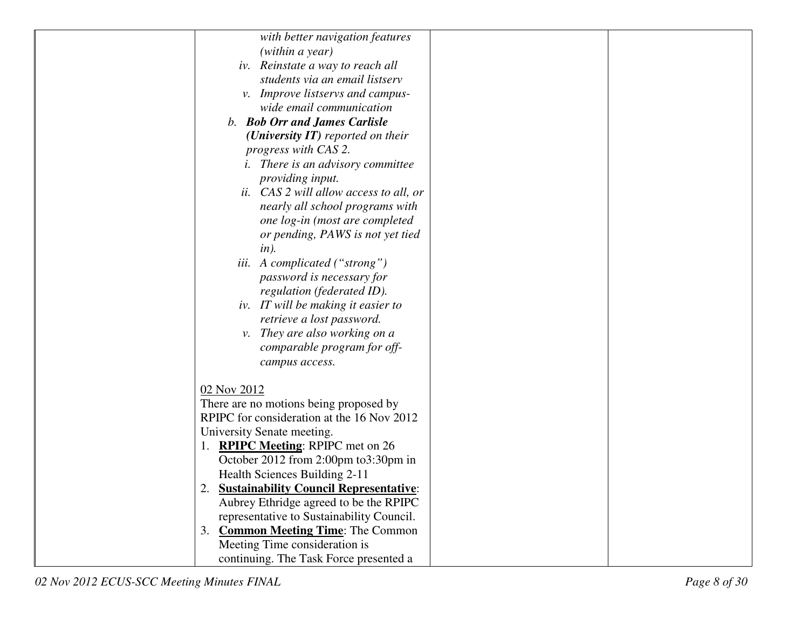| with better navigation features                     |
|-----------------------------------------------------|
| (within a year)                                     |
| iv. Reinstate a way to reach all                    |
| students via an email listserv                      |
| v. Improve listservs and campus-                    |
| wide email communication                            |
| <b>b.</b> Bob Orr and James Carlisle                |
| ( <i>University IT</i> ) reported on their          |
| progress with CAS 2.                                |
| <i>i.</i> There is an advisory committee            |
| providing input.                                    |
| ii. CAS 2 will allow access to all, or              |
| nearly all school programs with                     |
| one log-in (most are completed                      |
| or pending, PAWS is not yet tied                    |
| $in$ ).                                             |
| <i>iii.</i> A complicated ("strong")                |
| password is necessary for                           |
| regulation (federated ID).                          |
| iv. IT will be making it easier to                  |
| retrieve a lost password.                           |
| v. They are also working on a                       |
| comparable program for off-                         |
| campus access.                                      |
|                                                     |
| 02 Nov 2012                                         |
| There are no motions being proposed by              |
| RPIPC for consideration at the 16 Nov 2012          |
| University Senate meeting.                          |
| 1. <b>RPIPC Meeting:</b> RPIPC met on 26            |
| October 2012 from 2:00pm to 3:30pm in               |
| Health Sciences Building 2-11                       |
| <b>Sustainability Council Representative:</b><br>2. |
| Aubrey Ethridge agreed to be the RPIPC              |
| representative to Sustainability Council.           |
| <b>Common Meeting Time: The Common</b><br>3.        |
| Meeting Time consideration is                       |
| continuing. The Task Force presented a              |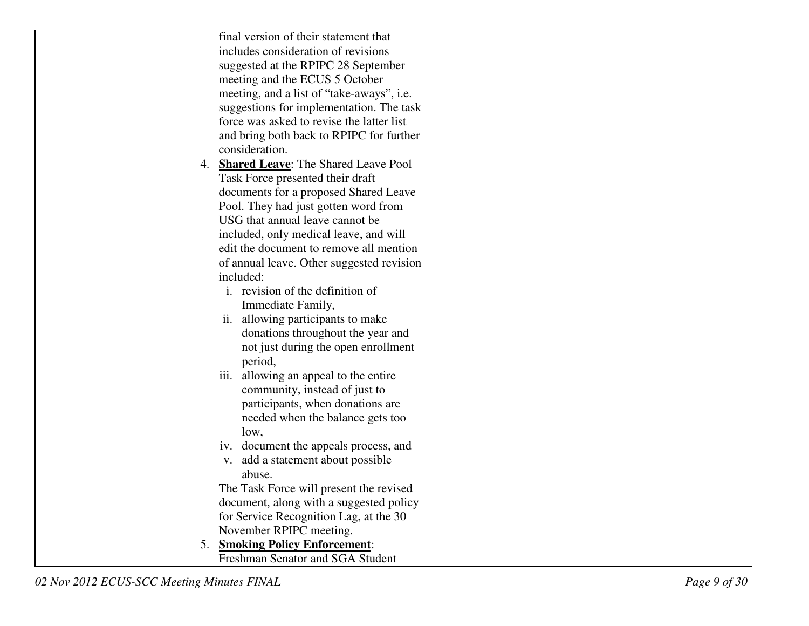|    | final version of their statement that      |  |
|----|--------------------------------------------|--|
|    | includes consideration of revisions        |  |
|    | suggested at the RPIPC 28 September        |  |
|    | meeting and the ECUS 5 October             |  |
|    | meeting, and a list of "take-aways", i.e.  |  |
|    | suggestions for implementation. The task   |  |
|    | force was asked to revise the latter list  |  |
|    | and bring both back to RPIPC for further   |  |
|    | consideration.                             |  |
| 4. | <b>Shared Leave:</b> The Shared Leave Pool |  |
|    | Task Force presented their draft           |  |
|    | documents for a proposed Shared Leave      |  |
|    | Pool. They had just gotten word from       |  |
|    | USG that annual leave cannot be            |  |
|    | included, only medical leave, and will     |  |
|    | edit the document to remove all mention    |  |
|    | of annual leave. Other suggested revision  |  |
|    | included:                                  |  |
|    | i. revision of the definition of           |  |
|    | Immediate Family,                          |  |
|    | allowing participants to make<br>ii.       |  |
|    | donations throughout the year and          |  |
|    | not just during the open enrollment        |  |
|    | period,                                    |  |
|    | iii. allowing an appeal to the entire      |  |
|    | community, instead of just to              |  |
|    | participants, when donations are           |  |
|    | needed when the balance gets too           |  |
|    | low,                                       |  |
|    | iv. document the appeals process, and      |  |
|    | v. add a statement about possible          |  |
|    | abuse.                                     |  |
|    | The Task Force will present the revised    |  |
|    | document, along with a suggested policy    |  |
|    | for Service Recognition Lag, at the 30     |  |
|    | November RPIPC meeting.                    |  |
| 5. | <b>Smoking Policy Enforcement:</b>         |  |
|    | Freshman Senator and SGA Student           |  |
|    |                                            |  |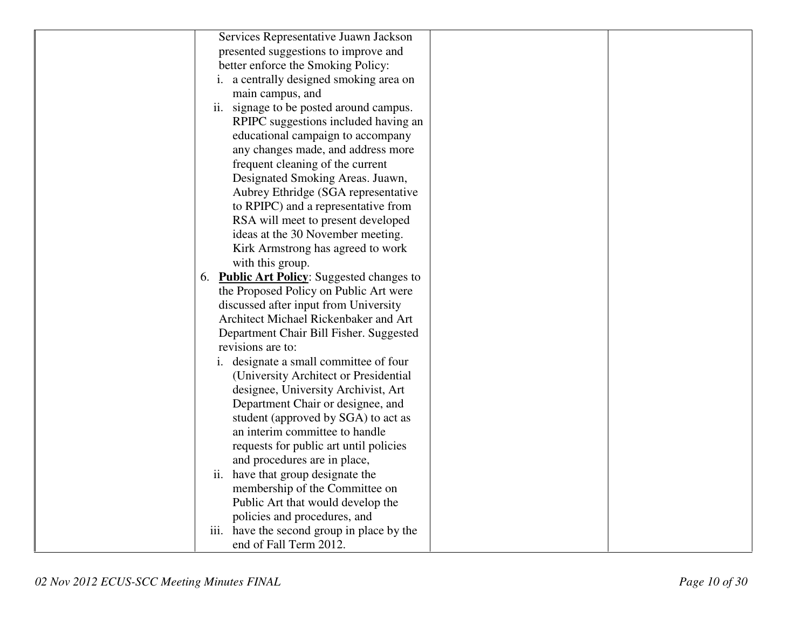| Services Representative Juawn Jackson      |
|--------------------------------------------|
| presented suggestions to improve and       |
| better enforce the Smoking Policy:         |
| i. a centrally designed smoking area on    |
| main campus, and                           |
| ii. signage to be posted around campus.    |
| RPIPC suggestions included having an       |
| educational campaign to accompany          |
| any changes made, and address more         |
| frequent cleaning of the current           |
| Designated Smoking Areas. Juawn,           |
| Aubrey Ethridge (SGA representative        |
| to RPIPC) and a representative from        |
| RSA will meet to present developed         |
| ideas at the 30 November meeting.          |
| Kirk Armstrong has agreed to work          |
| with this group.                           |
| 6. Public Art Policy: Suggested changes to |
| the Proposed Policy on Public Art were     |
| discussed after input from University      |
| Architect Michael Rickenbaker and Art      |
| Department Chair Bill Fisher. Suggested    |
| revisions are to:                          |
| i. designate a small committee of four     |
| (University Architect or Presidential      |
| designee, University Archivist, Art        |
| Department Chair or designee, and          |
| student (approved by SGA) to act as        |
| an interim committee to handle             |
| requests for public art until policies     |
| and procedures are in place,               |
| ii. have that group designate the          |
| membership of the Committee on             |
| Public Art that would develop the          |
| policies and procedures, and               |
| iii. have the second group in place by the |
| end of Fall Term 2012.                     |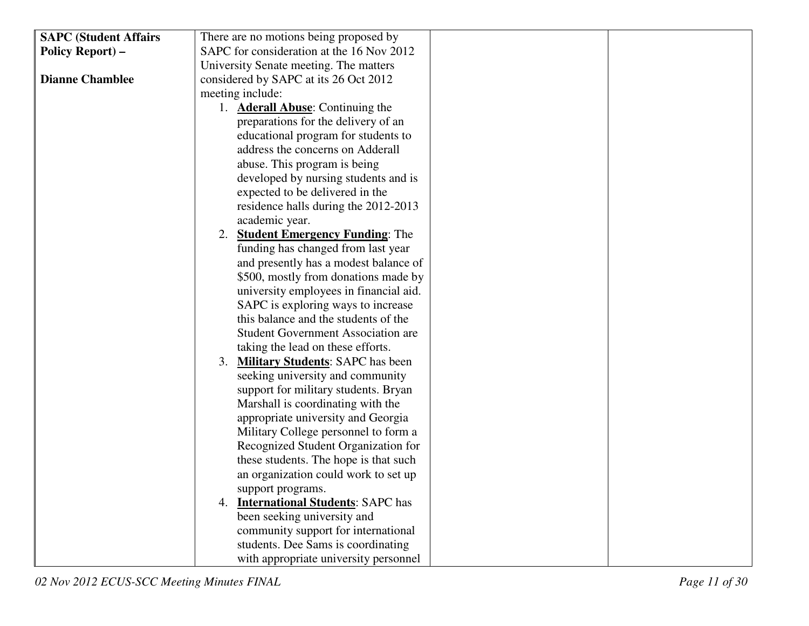| <b>SAPC (Student Affairs</b> | There are no motions being proposed by     |
|------------------------------|--------------------------------------------|
| Policy Report) -             | SAPC for consideration at the 16 Nov 2012  |
|                              | University Senate meeting. The matters     |
| <b>Dianne Chamblee</b>       | considered by SAPC at its 26 Oct 2012      |
|                              | meeting include:                           |
|                              | 1. <b>Aderall Abuse:</b> Continuing the    |
|                              | preparations for the delivery of an        |
|                              | educational program for students to        |
|                              | address the concerns on Adderall           |
|                              | abuse. This program is being               |
|                              | developed by nursing students and is       |
|                              | expected to be delivered in the            |
|                              | residence halls during the 2012-2013       |
|                              | academic year.                             |
|                              | 2. Student Emergency Funding: The          |
|                              | funding has changed from last year         |
|                              | and presently has a modest balance of      |
|                              | \$500, mostly from donations made by       |
|                              | university employees in financial aid.     |
|                              | SAPC is exploring ways to increase         |
|                              | this balance and the students of the       |
|                              | <b>Student Government Association are</b>  |
|                              | taking the lead on these efforts.          |
|                              | 3. Military Students: SAPC has been        |
|                              | seeking university and community           |
|                              | support for military students. Bryan       |
|                              | Marshall is coordinating with the          |
|                              | appropriate university and Georgia         |
|                              | Military College personnel to form a       |
|                              | Recognized Student Organization for        |
|                              | these students. The hope is that such      |
|                              | an organization could work to set up       |
|                              | support programs.                          |
|                              | 4. <b>International Students: SAPC has</b> |
|                              | been seeking university and                |
|                              | community support for international        |
|                              | students. Dee Sams is coordinating         |
|                              | with appropriate university personnel      |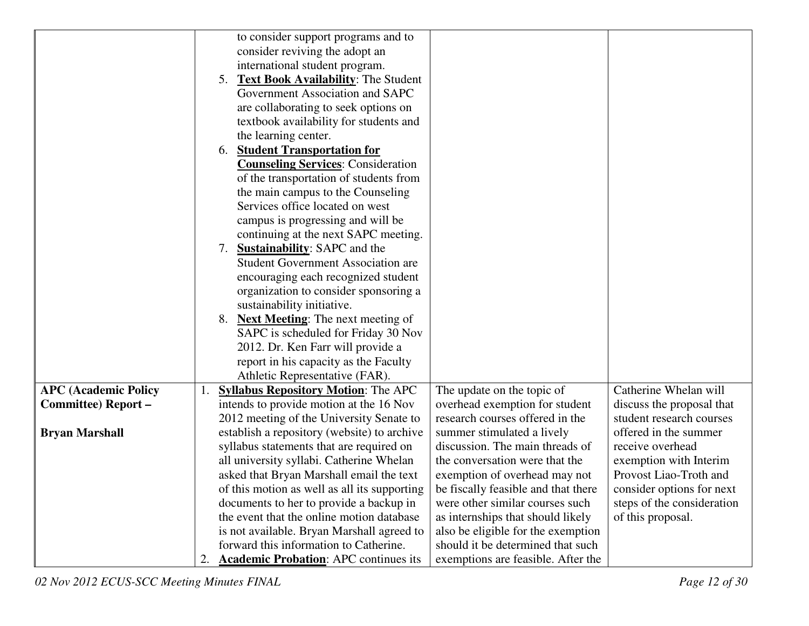|                             | to consider support programs and to                                                                              |
|-----------------------------|------------------------------------------------------------------------------------------------------------------|
|                             | consider reviving the adopt an                                                                                   |
|                             | international student program.                                                                                   |
|                             | <b>Text Book Availability:</b> The Student<br>5.                                                                 |
|                             | Government Association and SAPC                                                                                  |
|                             | are collaborating to seek options on                                                                             |
|                             | textbook availability for students and                                                                           |
|                             | the learning center.                                                                                             |
|                             | <b>Student Transportation for</b><br>6.                                                                          |
|                             | <b>Counseling Services: Consideration</b>                                                                        |
|                             | of the transportation of students from                                                                           |
|                             | the main campus to the Counseling                                                                                |
|                             | Services office located on west                                                                                  |
|                             | campus is progressing and will be                                                                                |
|                             | continuing at the next SAPC meeting.                                                                             |
|                             | <b>Sustainability:</b> SAPC and the<br>7.                                                                        |
|                             | <b>Student Government Association are</b>                                                                        |
|                             | encouraging each recognized student                                                                              |
|                             | organization to consider sponsoring a                                                                            |
|                             | sustainability initiative.                                                                                       |
|                             | 8. Next Meeting: The next meeting of                                                                             |
|                             | SAPC is scheduled for Friday 30 Nov                                                                              |
|                             | 2012. Dr. Ken Farr will provide a                                                                                |
|                             | report in his capacity as the Faculty                                                                            |
|                             | Athletic Representative (FAR).                                                                                   |
| <b>APC (Academic Policy</b> | Catherine Whelan will<br><b>Syllabus Repository Motion: The APC</b><br>The update on the topic of                |
| Committee) Report-          | intends to provide motion at the 16 Nov<br>overhead exemption for student<br>discuss the proposal that           |
|                             | research courses offered in the<br>2012 meeting of the University Senate to<br>student research courses          |
| <b>Bryan Marshall</b>       | establish a repository (website) to archive<br>offered in the summer<br>summer stimulated a lively               |
|                             | syllabus statements that are required on<br>discussion. The main threads of<br>receive overhead                  |
|                             | the conversation were that the<br>all university syllabi. Catherine Whelan<br>exemption with Interim             |
|                             | Provost Liao-Troth and<br>asked that Bryan Marshall email the text<br>exemption of overhead may not              |
|                             | be fiscally feasible and that there<br>of this motion as well as all its supporting<br>consider options for next |
|                             | documents to her to provide a backup in<br>were other similar courses such<br>steps of the consideration         |
|                             | the event that the online motion database<br>as internships that should likely<br>of this proposal.              |
|                             | is not available. Bryan Marshall agreed to<br>also be eligible for the exemption                                 |
|                             | forward this information to Catherine.<br>should it be determined that such                                      |
|                             | <b>Academic Probation:</b> APC continues its<br>exemptions are feasible. After the<br>2.                         |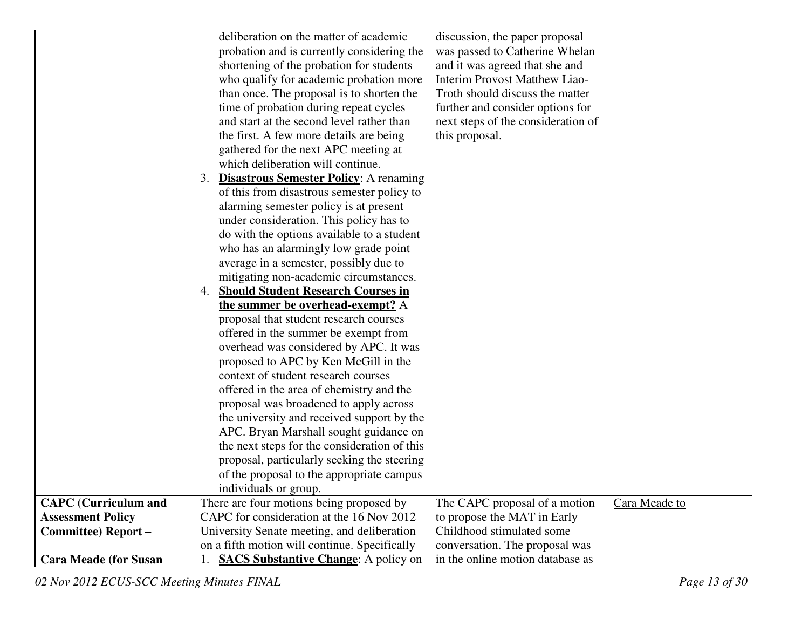|                              |    | deliberation on the matter of academic        | discussion, the paper proposal     |               |
|------------------------------|----|-----------------------------------------------|------------------------------------|---------------|
|                              |    | probation and is currently considering the    | was passed to Catherine Whelan     |               |
|                              |    | shortening of the probation for students      | and it was agreed that she and     |               |
|                              |    | who qualify for academic probation more       | Interim Provost Matthew Liao-      |               |
|                              |    | than once. The proposal is to shorten the     | Troth should discuss the matter    |               |
|                              |    | time of probation during repeat cycles        | further and consider options for   |               |
|                              |    | and start at the second level rather than     | next steps of the consideration of |               |
|                              |    | the first. A few more details are being       | this proposal.                     |               |
|                              |    | gathered for the next APC meeting at          |                                    |               |
|                              |    | which deliberation will continue.             |                                    |               |
|                              | 3. | <b>Disastrous Semester Policy:</b> A renaming |                                    |               |
|                              |    | of this from disastrous semester policy to    |                                    |               |
|                              |    | alarming semester policy is at present        |                                    |               |
|                              |    | under consideration. This policy has to       |                                    |               |
|                              |    | do with the options available to a student    |                                    |               |
|                              |    | who has an alarmingly low grade point         |                                    |               |
|                              |    | average in a semester, possibly due to        |                                    |               |
|                              |    | mitigating non-academic circumstances.        |                                    |               |
|                              | 4. | <b>Should Student Research Courses in</b>     |                                    |               |
|                              |    | the summer be overhead-exempt? A              |                                    |               |
|                              |    | proposal that student research courses        |                                    |               |
|                              |    | offered in the summer be exempt from          |                                    |               |
|                              |    | overhead was considered by APC. It was        |                                    |               |
|                              |    | proposed to APC by Ken McGill in the          |                                    |               |
|                              |    | context of student research courses           |                                    |               |
|                              |    | offered in the area of chemistry and the      |                                    |               |
|                              |    | proposal was broadened to apply across        |                                    |               |
|                              |    | the university and received support by the    |                                    |               |
|                              |    | APC. Bryan Marshall sought guidance on        |                                    |               |
|                              |    | the next steps for the consideration of this  |                                    |               |
|                              |    | proposal, particularly seeking the steering   |                                    |               |
|                              |    | of the proposal to the appropriate campus     |                                    |               |
|                              |    | individuals or group.                         |                                    |               |
| <b>CAPC</b> (Curriculum and  |    | There are four motions being proposed by      | The CAPC proposal of a motion      | Cara Meade to |
| <b>Assessment Policy</b>     |    | CAPC for consideration at the 16 Nov 2012     | to propose the MAT in Early        |               |
| Committee) Report-           |    | University Senate meeting, and deliberation   | Childhood stimulated some          |               |
|                              |    | on a fifth motion will continue. Specifically | conversation. The proposal was     |               |
| <b>Cara Meade (for Susan</b> |    | <b>SACS Substantive Change:</b> A policy on   | in the online motion database as   |               |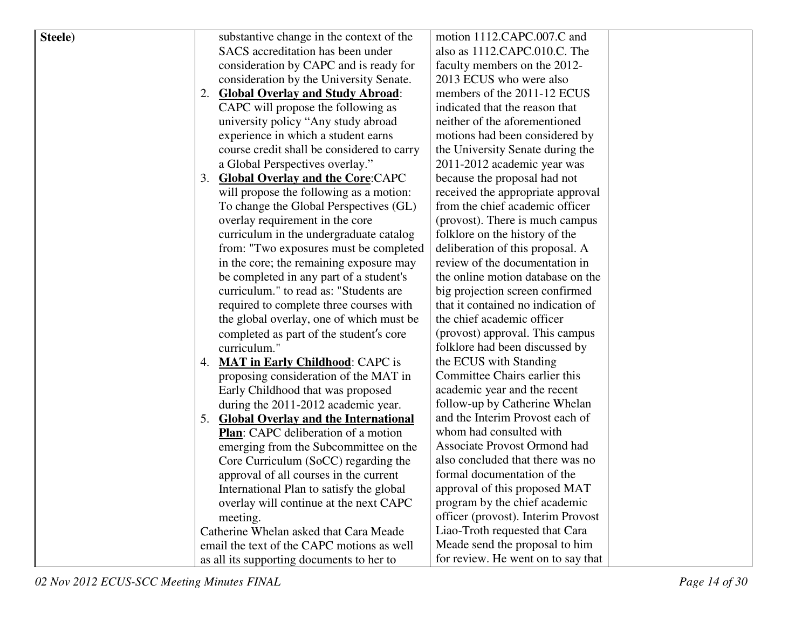| Steele) |    | substantive change in the context of the   | motion 1112.CAPC.007.C and          |  |
|---------|----|--------------------------------------------|-------------------------------------|--|
|         |    | SACS accreditation has been under          | also as 1112.CAPC.010.C. The        |  |
|         |    | consideration by CAPC and is ready for     | faculty members on the 2012-        |  |
|         |    | consideration by the University Senate.    | 2013 ECUS who were also             |  |
|         | 2. | <b>Global Overlay and Study Abroad:</b>    | members of the 2011-12 ECUS         |  |
|         |    | CAPC will propose the following as         | indicated that the reason that      |  |
|         |    | university policy "Any study abroad        | neither of the aforementioned       |  |
|         |    | experience in which a student earns        | motions had been considered by      |  |
|         |    | course credit shall be considered to carry | the University Senate during the    |  |
|         |    | a Global Perspectives overlay."            | 2011-2012 academic year was         |  |
|         | 3. | <b>Global Overlay and the Core: CAPC</b>   | because the proposal had not        |  |
|         |    | will propose the following as a motion:    | received the appropriate approval   |  |
|         |    | To change the Global Perspectives (GL)     | from the chief academic officer     |  |
|         |    | overlay requirement in the core            | (provost). There is much campus     |  |
|         |    | curriculum in the undergraduate catalog    | folklore on the history of the      |  |
|         |    | from: "Two exposures must be completed     | deliberation of this proposal. A    |  |
|         |    | in the core; the remaining exposure may    | review of the documentation in      |  |
|         |    | be completed in any part of a student's    | the online motion database on the   |  |
|         |    | curriculum." to read as: "Students are     | big projection screen confirmed     |  |
|         |    | required to complete three courses with    | that it contained no indication of  |  |
|         |    | the global overlay, one of which must be   | the chief academic officer          |  |
|         |    | completed as part of the student's core    | (provost) approval. This campus     |  |
|         |    | curriculum."                               | folklore had been discussed by      |  |
|         | 4. | <b>MAT in Early Childhood: CAPC is</b>     | the ECUS with Standing              |  |
|         |    | proposing consideration of the MAT in      | Committee Chairs earlier this       |  |
|         |    | Early Childhood that was proposed          | academic year and the recent        |  |
|         |    | during the 2011-2012 academic year.        | follow-up by Catherine Whelan       |  |
|         |    | 5. Global Overlay and the International    | and the Interim Provost each of     |  |
|         |    | Plan: CAPC deliberation of a motion        | whom had consulted with             |  |
|         |    | emerging from the Subcommittee on the      | <b>Associate Provost Ormond had</b> |  |
|         |    | Core Curriculum (SoCC) regarding the       | also concluded that there was no    |  |
|         |    | approval of all courses in the current     | formal documentation of the         |  |
|         |    | International Plan to satisfy the global   | approval of this proposed MAT       |  |
|         |    | overlay will continue at the next CAPC     | program by the chief academic       |  |
|         |    | meeting.                                   | officer (provost). Interim Provost  |  |
|         |    | Catherine Whelan asked that Cara Meade     | Liao-Troth requested that Cara      |  |
|         |    | email the text of the CAPC motions as well | Meade send the proposal to him      |  |
|         |    | as all its supporting documents to her to  | for review. He went on to say that  |  |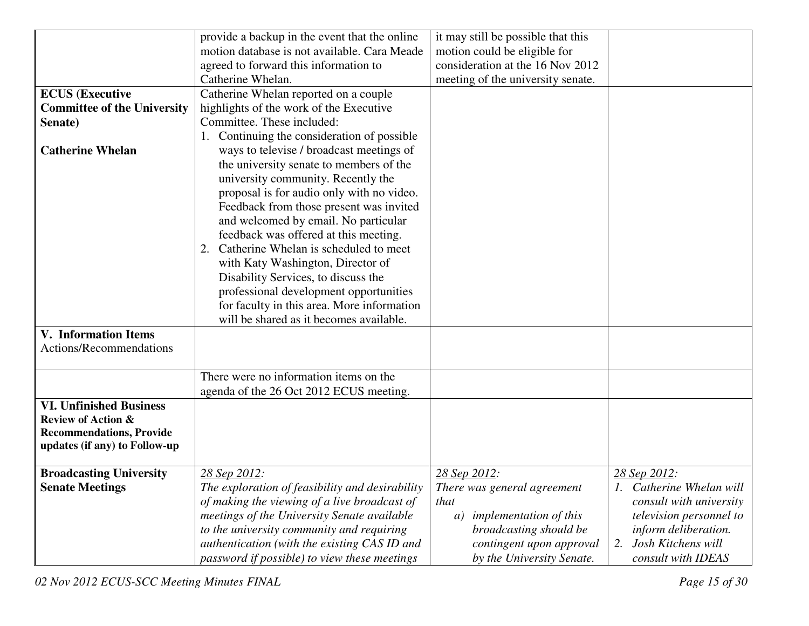|                                    | provide a backup in the event that the online   | it may still be possible that this                            |                                            |
|------------------------------------|-------------------------------------------------|---------------------------------------------------------------|--------------------------------------------|
|                                    | motion database is not available. Cara Meade    | motion could be eligible for                                  |                                            |
|                                    | agreed to forward this information to           | consideration at the 16 Nov 2012                              |                                            |
|                                    | Catherine Whelan.                               | meeting of the university senate.                             |                                            |
| <b>ECUS</b> (Executive             | Catherine Whelan reported on a couple           |                                                               |                                            |
| <b>Committee of the University</b> | highlights of the work of the Executive         |                                                               |                                            |
| Senate)                            | Committee. These included:                      |                                                               |                                            |
|                                    | 1. Continuing the consideration of possible     |                                                               |                                            |
| <b>Catherine Whelan</b>            | ways to televise / broadcast meetings of        |                                                               |                                            |
|                                    | the university senate to members of the         |                                                               |                                            |
|                                    | university community. Recently the              |                                                               |                                            |
|                                    | proposal is for audio only with no video.       |                                                               |                                            |
|                                    | Feedback from those present was invited         |                                                               |                                            |
|                                    | and welcomed by email. No particular            |                                                               |                                            |
|                                    | feedback was offered at this meeting.           |                                                               |                                            |
|                                    | 2. Catherine Whelan is scheduled to meet        |                                                               |                                            |
|                                    | with Katy Washington, Director of               |                                                               |                                            |
|                                    | Disability Services, to discuss the             |                                                               |                                            |
|                                    | professional development opportunities          |                                                               |                                            |
|                                    | for faculty in this area. More information      |                                                               |                                            |
|                                    | will be shared as it becomes available.         |                                                               |                                            |
| <b>V.</b> Information Items        |                                                 |                                                               |                                            |
| Actions/Recommendations            |                                                 |                                                               |                                            |
|                                    |                                                 |                                                               |                                            |
|                                    | There were no information items on the          |                                                               |                                            |
|                                    | agenda of the 26 Oct 2012 ECUS meeting.         |                                                               |                                            |
| <b>VI. Unfinished Business</b>     |                                                 |                                                               |                                            |
| <b>Review of Action &amp;</b>      |                                                 |                                                               |                                            |
| <b>Recommendations, Provide</b>    |                                                 |                                                               |                                            |
| updates (if any) to Follow-up      |                                                 |                                                               |                                            |
| <b>Broadcasting University</b>     | 28 Sep 2012:                                    | 28 Sep 2012:                                                  | <u>28 Sep 2012</u> :                       |
| <b>Senate Meetings</b>             | The exploration of feasibility and desirability | There was general agreement                                   | 1. Catherine Whelan will                   |
|                                    | of making the viewing of a live broadcast of    | that                                                          | consult with university                    |
|                                    | meetings of the University Senate available     |                                                               |                                            |
|                                    |                                                 | <i>implementation of this</i><br>a)<br>broadcasting should be | television personnel to                    |
|                                    | to the university community and requiring       |                                                               | inform deliberation.<br>Josh Kitchens will |
|                                    | authentication (with the existing CAS ID and    | contingent upon approval                                      | 2.                                         |
|                                    | password if possible) to view these meetings    | by the University Senate.                                     | consult with IDEAS                         |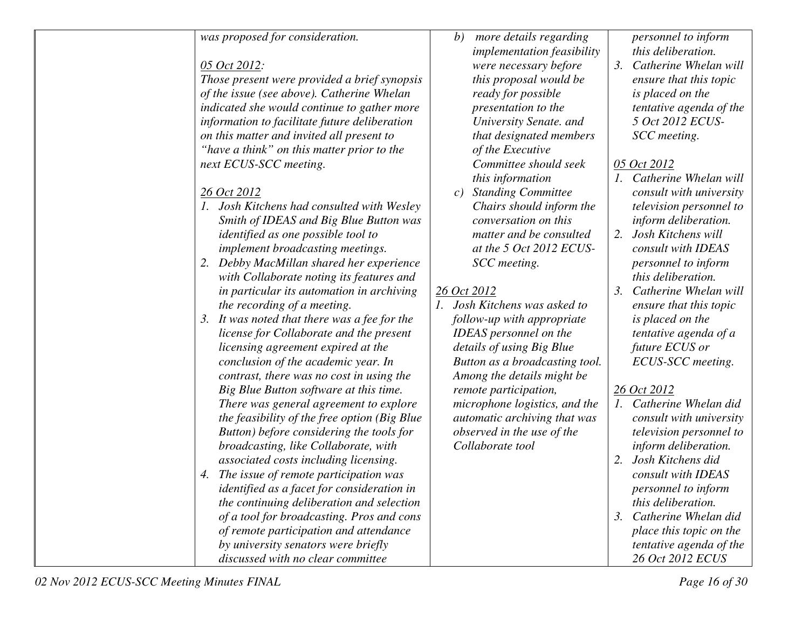| was proposed for consideration.                 | more details regarding<br>b)      | personnel to inform        |
|-------------------------------------------------|-----------------------------------|----------------------------|
|                                                 | <i>implementation feasibility</i> | this deliberation.         |
| 05 Oct 2012:                                    | were necessary before             | 3. Catherine Whelan will   |
| Those present were provided a brief synopsis    | this proposal would be            | ensure that this topic     |
| of the issue (see above). Catherine Whelan      | ready for possible                | is placed on the           |
| indicated she would continue to gather more     | presentation to the               | tentative agenda of the    |
| information to facilitate future deliberation   | University Senate. and            | 5 Oct 2012 ECUS-           |
| on this matter and invited all present to       | that designated members           | SCC meeting.               |
| "have a think" on this matter prior to the      | of the Executive                  |                            |
| next ECUS-SCC meeting.                          | Committee should seek             | 05 Oct 2012                |
|                                                 | this information                  | 1. Catherine Whelan will   |
| 26 Oct 2012                                     | c) Standing Committee             | consult with university    |
| 1. Josh Kitchens had consulted with Wesley      | Chairs should inform the          | television personnel to    |
| Smith of IDEAS and Big Blue Button was          | conversation on this              | inform deliberation.       |
| identified as one possible tool to              | matter and be consulted           | 2. Josh Kitchens will      |
| implement broadcasting meetings.                | at the 5 Oct 2012 ECUS-           | consult with IDEAS         |
| Debby MacMillan shared her experience           | SCC meeting.                      | personnel to inform        |
| with Collaborate noting its features and        |                                   | this deliberation.         |
| in particular its automation in archiving       | 26 Oct 2012                       | 3. Catherine Whelan will   |
| the recording of a meeting.                     | 1. Josh Kitchens was asked to     | ensure that this topic     |
| It was noted that there was a fee for the<br>3. | follow-up with appropriate        | is placed on the           |
| license for Collaborate and the present         | <b>IDEAS</b> personnel on the     | tentative agenda of a      |
| licensing agreement expired at the              | details of using Big Blue         | future ECUS or             |
| conclusion of the academic year. In             | Button as a broadcasting tool.    | ECUS-SCC meeting.          |
| contrast, there was no cost in using the        | Among the details might be        |                            |
| Big Blue Button software at this time.          | remote participation,             | 26 Oct 2012                |
| There was general agreement to explore          | microphone logistics, and the     | 1. Catherine Whelan did    |
| the feasibility of the free option (Big Blue    | automatic archiving that was      | consult with university    |
| Button) before considering the tools for        | observed in the use of the        | television personnel to    |
| broadcasting, like Collaborate, with            | Collaborate tool                  | inform deliberation.       |
| associated costs including licensing.           |                                   | 2. Josh Kitchens did       |
| The issue of remote participation was<br>4.     |                                   | consult with IDEAS         |
| identified as a facet for consideration in      |                                   | personnel to inform        |
| the continuing deliberation and selection       |                                   | this deliberation.         |
| of a tool for broadcasting. Pros and cons       |                                   | 3.<br>Catherine Whelan did |
| of remote participation and attendance          |                                   | place this topic on the    |
| by university senators were briefly             |                                   | tentative agenda of the    |
| discussed with no clear committee               |                                   | 26 Oct 2012 ECUS           |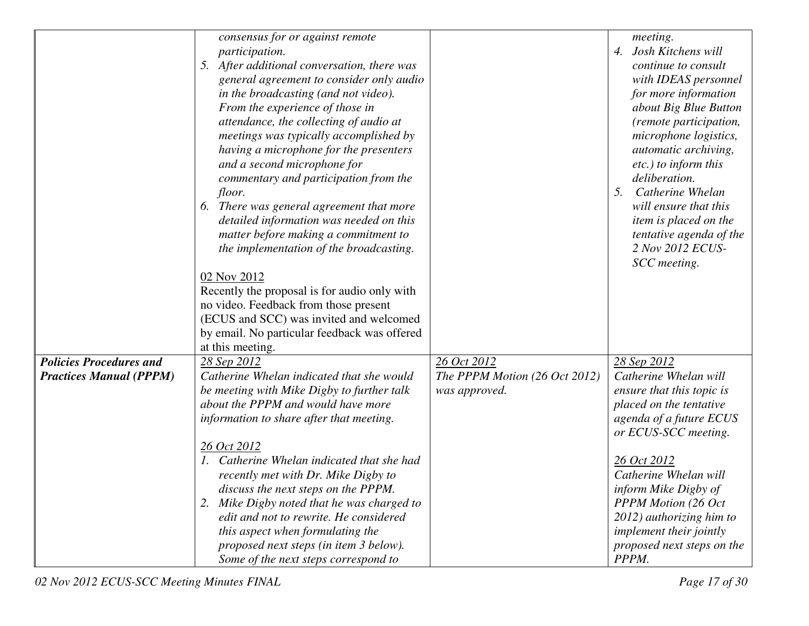|                                | consensus for or against remote<br>participation.<br>5. After additional conversation, there was<br>general agreement to consider only audio<br>in the broadcasting (and not video).<br>From the experience of those in<br>attendance, the collecting of audio at<br>meetings was typically accomplished by<br>having a microphone for the presenters<br>and a second microphone for<br>commentary and participation from the<br><i>floor.</i><br>6. There was general agreement that more<br>detailed information was needed on this<br>matter before making a commitment to<br>the implementation of the broadcasting.<br>02 Nov 2012<br>Recently the proposal is for audio only with<br>no video. Feedback from those present<br>(ECUS and SCC) was invited and welcomed<br>by email. No particular feedback was offered |                                                | meeting.<br>4. Josh Kitchens will<br>continue to consult<br>with IDEAS personnel<br>for more information<br>about Big Blue Button<br>(remote participation,<br>microphone logistics,<br>automatic archiving,<br>etc.) to inform this<br>deliberation.<br>5.<br>Catherine Whelan<br>will ensure that this<br>item is placed on the<br>tentative agenda of the<br>2 Nov 2012 ECUS-<br>SCC meeting. |
|--------------------------------|-----------------------------------------------------------------------------------------------------------------------------------------------------------------------------------------------------------------------------------------------------------------------------------------------------------------------------------------------------------------------------------------------------------------------------------------------------------------------------------------------------------------------------------------------------------------------------------------------------------------------------------------------------------------------------------------------------------------------------------------------------------------------------------------------------------------------------|------------------------------------------------|--------------------------------------------------------------------------------------------------------------------------------------------------------------------------------------------------------------------------------------------------------------------------------------------------------------------------------------------------------------------------------------------------|
| <b>Policies Procedures and</b> | at this meeting.<br>28 Sep 2012                                                                                                                                                                                                                                                                                                                                                                                                                                                                                                                                                                                                                                                                                                                                                                                             | 26 Oct 2012                                    | 28 Sep 2012                                                                                                                                                                                                                                                                                                                                                                                      |
| <b>Practices Manual (PPPM)</b> | Catherine Whelan indicated that she would<br>be meeting with Mike Digby to further talk<br>about the PPPM and would have more<br>information to share after that meeting.                                                                                                                                                                                                                                                                                                                                                                                                                                                                                                                                                                                                                                                   | The PPPM Motion (26 Oct 2012)<br>was approved. | Catherine Whelan will<br>ensure that this topic is<br>placed on the tentative<br>agenda of a future ECUS<br>or ECUS-SCC meeting.                                                                                                                                                                                                                                                                 |
|                                | 26 Oct 2012<br>1. Catherine Whelan indicated that she had<br>recently met with Dr. Mike Digby to<br>discuss the next steps on the PPPM.<br>2. Mike Digby noted that he was charged to<br>edit and not to rewrite. He considered<br>this aspect when formulating the<br>proposed next steps (in item 3 below).<br>Some of the next steps correspond to                                                                                                                                                                                                                                                                                                                                                                                                                                                                       |                                                | 26 Oct 2012<br>Catherine Whelan will<br>inform Mike Digby of<br><b>PPPM Motion (26 Oct)</b><br>2012) authorizing him to<br><i>implement their jointly</i><br>proposed next steps on the<br>PPPM.                                                                                                                                                                                                 |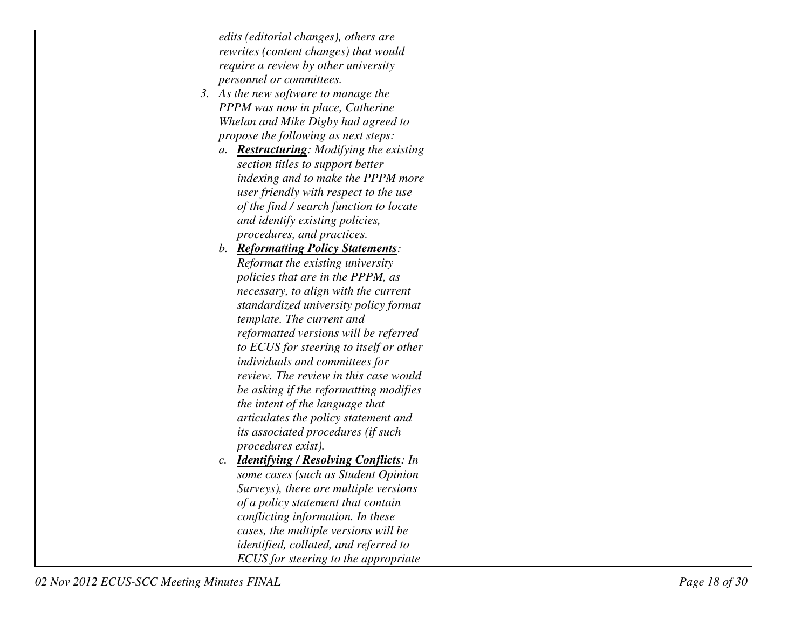| edits (editorial changes), others are            |
|--------------------------------------------------|
| rewrites (content changes) that would            |
| require a review by other university             |
| personnel or committees.                         |
| 3. As the new software to manage the             |
| PPPM was now in place, Catherine                 |
| Whelan and Mike Digby had agreed to              |
| propose the following as next steps:             |
| a. <b>Restructuring</b> : Modifying the existing |
| section titles to support better                 |
| indexing and to make the PPPM more               |
| user friendly with respect to the use            |
| of the find / search function to locate          |
| and identify existing policies,                  |
| procedures, and practices.                       |
| b. Reformatting Policy Statements:               |
| Reformat the existing university                 |
| policies that are in the PPPM, as                |
| necessary, to align with the current             |
| standardized university policy format            |
| template. The current and                        |
| reformatted versions will be referred            |
| to ECUS for steering to itself or other          |
| individuals and committees for                   |
| review. The review in this case would            |
| be asking if the reformatting modifies           |
| the intent of the language that                  |
| articulates the policy statement and             |
| its associated procedures (if such               |
| procedures exist).                               |
| c. <b>Identifying / Resolving Conflicts</b> : In |
| some cases (such as Student Opinion              |
| Surveys), there are multiple versions            |
| of a policy statement that contain               |
| conflicting information. In these                |
| cases, the multiple versions will be             |
| identified, collated, and referred to            |
| ECUS for steering to the appropriate             |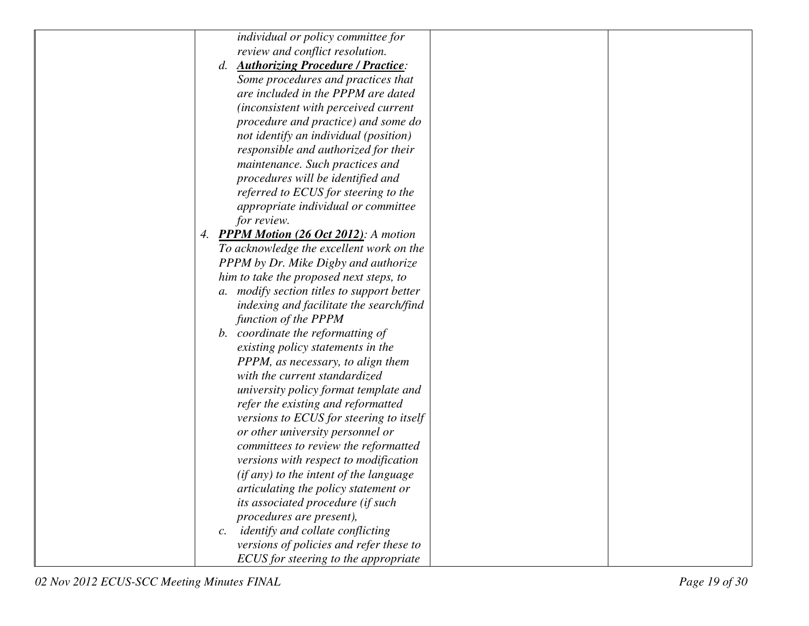| individual or policy committee for                  |
|-----------------------------------------------------|
| review and conflict resolution.                     |
| d. <b>Authorizing Procedure / Practice:</b>         |
| Some procedures and practices that                  |
| are included in the PPPM are dated                  |
| (inconsistent with perceived current                |
| procedure and practice) and some do                 |
| not identify an individual (position)               |
| responsible and authorized for their                |
| maintenance. Such practices and                     |
| procedures will be identified and                   |
| referred to ECUS for steering to the                |
| appropriate individual or committee                 |
| for review.                                         |
| 4. PPPM Motion (26 Oct 2012): A motion              |
| To acknowledge the excellent work on the            |
| PPPM by Dr. Mike Digby and authorize                |
| him to take the proposed next steps, to             |
| a. modify section titles to support better          |
| indexing and facilitate the search/find             |
| function of the PPPM                                |
| b. coordinate the reformatting of                   |
| existing policy statements in the                   |
| PPPM, as necessary, to align them                   |
| with the current standardized                       |
| university policy format template and               |
| refer the existing and reformatted                  |
| versions to ECUS for steering to itself             |
| or other university personnel or                    |
| committees to review the reformatted                |
| versions with respect to modification               |
| (if any) to the intent of the language              |
| articulating the policy statement or                |
| its associated procedure (if such                   |
| procedures are present),                            |
| identify and collate conflicting<br>$\mathcal{C}$ . |
| versions of policies and refer these to             |
| ECUS for steering to the appropriate                |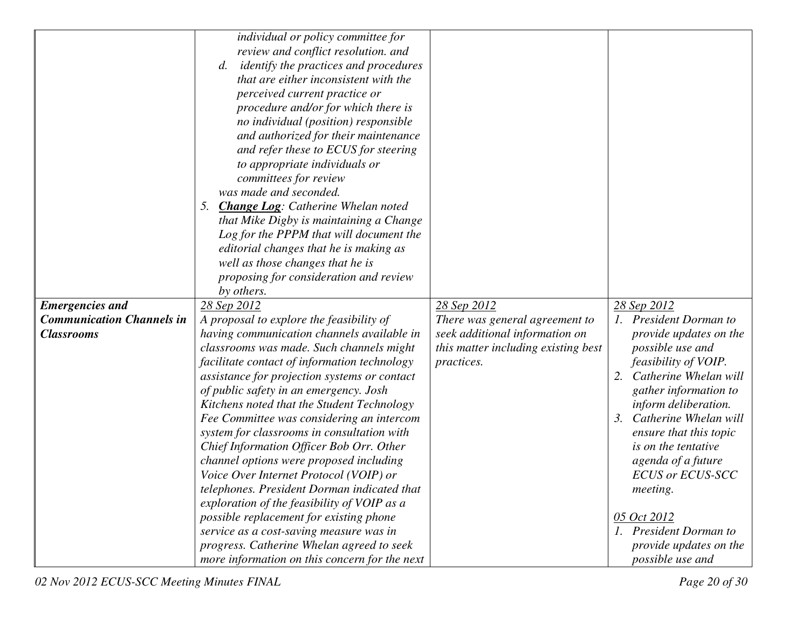|                                  | individual or policy committee for                                                 |                                     |                                               |
|----------------------------------|------------------------------------------------------------------------------------|-------------------------------------|-----------------------------------------------|
|                                  | review and conflict resolution. and                                                |                                     |                                               |
|                                  | <i>identify the practices and procedures</i><br>d.                                 |                                     |                                               |
|                                  | that are either inconsistent with the                                              |                                     |                                               |
|                                  | perceived current practice or                                                      |                                     |                                               |
|                                  | procedure and/or for which there is                                                |                                     |                                               |
|                                  | no individual (position) responsible                                               |                                     |                                               |
|                                  |                                                                                    |                                     |                                               |
|                                  | and authorized for their maintenance                                               |                                     |                                               |
|                                  | and refer these to ECUS for steering                                               |                                     |                                               |
|                                  | to appropriate individuals or                                                      |                                     |                                               |
|                                  | committees for review                                                              |                                     |                                               |
|                                  | was made and seconded.                                                             |                                     |                                               |
|                                  | <b>Change Log:</b> Catherine Whelan noted<br>5.                                    |                                     |                                               |
|                                  | that Mike Digby is maintaining a Change                                            |                                     |                                               |
|                                  | Log for the PPPM that will document the                                            |                                     |                                               |
|                                  | editorial changes that he is making as                                             |                                     |                                               |
|                                  | well as those changes that he is                                                   |                                     |                                               |
|                                  | proposing for consideration and review                                             |                                     |                                               |
|                                  | by others.                                                                         |                                     |                                               |
|                                  |                                                                                    |                                     |                                               |
| <b>Emergencies and</b>           | 28 Sep 2012                                                                        | 28 Sep 2012                         | 28 Sep 2012                                   |
| <b>Communication Channels in</b> | A proposal to explore the feasibility of                                           | There was general agreement to      | 1. President Dorman to                        |
| <b>Classrooms</b>                | having communication channels available in                                         | seek additional information on      | provide updates on the                        |
|                                  | classrooms was made. Such channels might                                           | this matter including existing best | possible use and                              |
|                                  | facilitate contact of information technology                                       | practices.                          | feasibility of VOIP.                          |
|                                  | assistance for projection systems or contact                                       |                                     | 2.<br>Catherine Whelan will                   |
|                                  | of public safety in an emergency. Josh                                             |                                     | gather information to                         |
|                                  | Kitchens noted that the Student Technology                                         |                                     | inform deliberation.                          |
|                                  | Fee Committee was considering an intercom                                          |                                     | Catherine Whelan will<br>3.                   |
|                                  |                                                                                    |                                     | ensure that this topic                        |
|                                  | system for classrooms in consultation with                                         |                                     | is on the tentative                           |
|                                  | Chief Information Officer Bob Orr. Other                                           |                                     |                                               |
|                                  | channel options were proposed including<br>Voice Over Internet Protocol (VOIP) or  |                                     | agenda of a future<br><b>ECUS or ECUS-SCC</b> |
|                                  | telephones. President Dorman indicated that                                        |                                     | <i>meeting.</i>                               |
|                                  |                                                                                    |                                     |                                               |
|                                  | exploration of the feasibility of VOIP as a                                        |                                     | 05 Oct 2012                                   |
|                                  | possible replacement for existing phone<br>service as a cost-saving measure was in |                                     | 1. President Dorman to                        |
|                                  | progress. Catherine Whelan agreed to seek                                          |                                     | provide updates on the                        |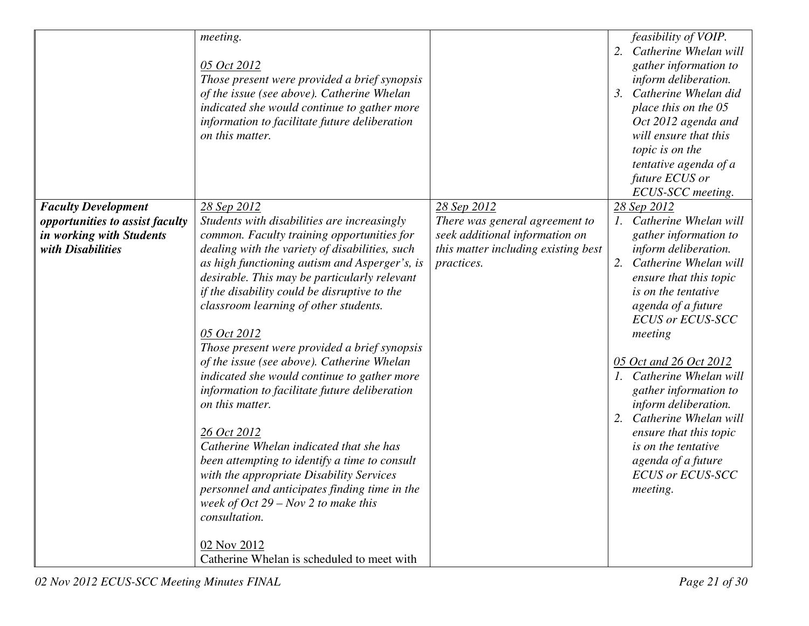|                                                                                                                | meeting.<br>05 Oct 2012<br>Those present were provided a brief synopsis<br>of the issue (see above). Catherine Whelan                                                                                                                                                                                                                                                                                                                                                                                                                                                                                                                                                                                                                                                                                                                                  |                                                                                                                                      | feasibility of VOIP.<br>2.<br>Catherine Whelan will<br>gather information to<br>inform deliberation.<br>3. Catherine Whelan did                                                                                                                                                                                                                                                                                                                                                                 |
|----------------------------------------------------------------------------------------------------------------|--------------------------------------------------------------------------------------------------------------------------------------------------------------------------------------------------------------------------------------------------------------------------------------------------------------------------------------------------------------------------------------------------------------------------------------------------------------------------------------------------------------------------------------------------------------------------------------------------------------------------------------------------------------------------------------------------------------------------------------------------------------------------------------------------------------------------------------------------------|--------------------------------------------------------------------------------------------------------------------------------------|-------------------------------------------------------------------------------------------------------------------------------------------------------------------------------------------------------------------------------------------------------------------------------------------------------------------------------------------------------------------------------------------------------------------------------------------------------------------------------------------------|
|                                                                                                                | indicated she would continue to gather more<br>information to facilitate future deliberation<br>on this matter.                                                                                                                                                                                                                                                                                                                                                                                                                                                                                                                                                                                                                                                                                                                                        |                                                                                                                                      | place this on the 05<br>Oct 2012 agenda and<br>will ensure that this<br>topic is on the<br>tentative agenda of a<br>future ECUS or<br>ECUS-SCC meeting.                                                                                                                                                                                                                                                                                                                                         |
| <b>Faculty Development</b><br>opportunities to assist faculty<br>in working with Students<br>with Disabilities | 28 Sep 2012<br>Students with disabilities are increasingly<br>common. Faculty training opportunities for<br>dealing with the variety of disabilities, such<br>as high functioning autism and Asperger's, is<br>desirable. This may be particularly relevant<br>if the disability could be disruptive to the<br>classroom learning of other students.<br>05 Oct 2012<br>Those present were provided a brief synopsis<br>of the issue (see above). Catherine Whelan<br>indicated she would continue to gather more<br>information to facilitate future deliberation<br>on this matter.<br>26 Oct 2012<br>Catherine Whelan indicated that she has<br>been attempting to identify a time to consult<br>with the appropriate Disability Services<br>personnel and anticipates finding time in the<br>week of Oct $29 - Nov 2$ to make this<br>consultation. | 28 Sep 2012<br>There was general agreement to<br>seek additional information on<br>this matter including existing best<br>practices. | 28 Sep 2012<br>1. Catherine Whelan will<br>gather information to<br>inform deliberation.<br>2.<br>Catherine Whelan will<br>ensure that this topic<br>is on the tentative<br>agenda of a future<br><b>ECUS or ECUS-SCC</b><br>meeting<br>05 Oct and 26 Oct 2012<br>1. Catherine Whelan will<br>gather information to<br>inform deliberation.<br>2.<br>Catherine Whelan will<br>ensure that this topic<br><i>is on the tentative</i><br>agenda of a future<br><b>ECUS or ECUS-SCC</b><br>meeting. |
|                                                                                                                | 02 Nov 2012<br>Catherine Whelan is scheduled to meet with                                                                                                                                                                                                                                                                                                                                                                                                                                                                                                                                                                                                                                                                                                                                                                                              |                                                                                                                                      |                                                                                                                                                                                                                                                                                                                                                                                                                                                                                                 |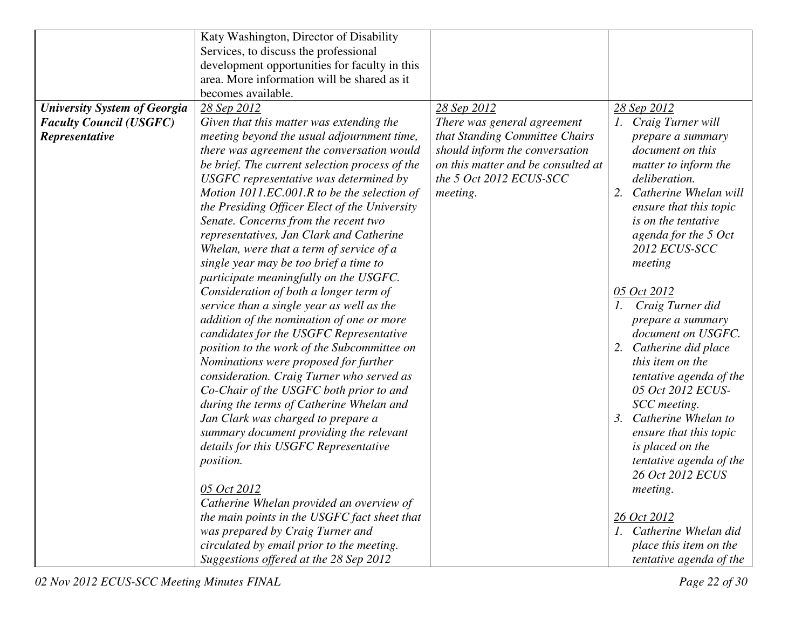|                                     | Katy Washington, Director of Disability        |                                    |                                         |
|-------------------------------------|------------------------------------------------|------------------------------------|-----------------------------------------|
|                                     | Services, to discuss the professional          |                                    |                                         |
|                                     | development opportunities for faculty in this  |                                    |                                         |
|                                     | area. More information will be shared as it    |                                    |                                         |
|                                     | becomes available.                             |                                    |                                         |
| <b>University System of Georgia</b> | 28 Sep 2012                                    | 28 Sep 2012                        | 28 Sep 2012                             |
| <b>Faculty Council (USGFC)</b>      | Given that this matter was extending the       | There was general agreement        | 1. Craig Turner will                    |
| Representative                      | meeting beyond the usual adjournment time,     | that Standing Committee Chairs     | prepare a summary                       |
|                                     | there was agreement the conversation would     | should inform the conversation     | document on this                        |
|                                     | be brief. The current selection process of the | on this matter and be consulted at | matter to inform the                    |
|                                     | USGFC representative was determined by         | the 5 Oct 2012 ECUS-SCC            | deliberation.                           |
|                                     | Motion 1011.EC.001.R to be the selection of    | meeting.                           | Catherine Whelan will<br>2.             |
|                                     | the Presiding Officer Elect of the University  |                                    | ensure that this topic                  |
|                                     | Senate. Concerns from the recent two           |                                    | is on the tentative                     |
|                                     | representatives, Jan Clark and Catherine       |                                    | agenda for the 5 Oct                    |
|                                     | Whelan, were that a term of service of a       |                                    | 2012 ECUS-SCC                           |
|                                     | single year may be too brief a time to         |                                    | meeting                                 |
|                                     | participate meaningfully on the USGFC.         |                                    |                                         |
|                                     | Consideration of both a longer term of         |                                    | 05 Oct 2012                             |
|                                     | service than a single year as well as the      |                                    | Craig Turner did                        |
|                                     | addition of the nomination of one or more      |                                    | prepare a summary                       |
|                                     | candidates for the USGFC Representative        |                                    | document on USGFC.                      |
|                                     | position to the work of the Subcommittee on    |                                    | Catherine did place<br>2.               |
|                                     | Nominations were proposed for further          |                                    | this item on the                        |
|                                     | consideration. Craig Turner who served as      |                                    | tentative agenda of the                 |
|                                     | Co-Chair of the USGFC both prior to and        |                                    | 05 Oct 2012 ECUS-                       |
|                                     | during the terms of Catherine Whelan and       |                                    | SCC meeting.                            |
|                                     | Jan Clark was charged to prepare a             |                                    | Catherine Whelan to<br>$\mathfrak{Z}$ . |
|                                     | summary document providing the relevant        |                                    | ensure that this topic                  |
|                                     | details for this USGFC Representative          |                                    | is placed on the                        |
|                                     | position.                                      |                                    | tentative agenda of the                 |
|                                     |                                                |                                    | 26 Oct 2012 ECUS                        |
|                                     | 05 Oct 2012                                    |                                    | meeting.                                |
|                                     | Catherine Whelan provided an overview of       |                                    |                                         |
|                                     | the main points in the USGFC fact sheet that   |                                    | 26 Oct 2012                             |
|                                     | was prepared by Craig Turner and               |                                    | 1. Catherine Whelan did                 |
|                                     | circulated by email prior to the meeting.      |                                    | place this item on the                  |
|                                     | Suggestions offered at the 28 Sep 2012         |                                    | tentative agenda of the                 |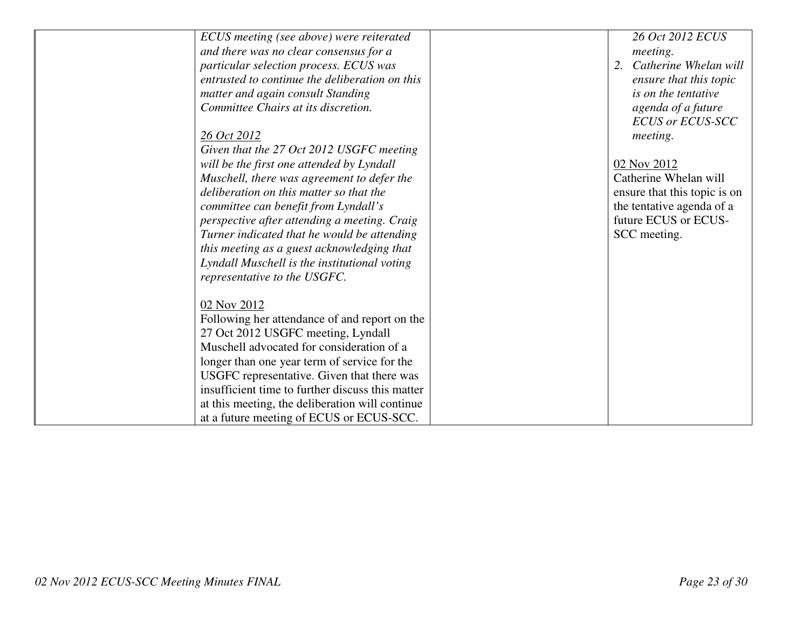| ECUS meeting (see above) were reiterated         | 26 Oct 2012 ECUS             |
|--------------------------------------------------|------------------------------|
| and there was no clear consensus for a           | meeting.                     |
| particular selection process. ECUS was           | Catherine Whelan will        |
| entrusted to continue the deliberation on this   | ensure that this topic       |
| matter and again consult Standing                | is on the tentative          |
| Committee Chairs at its discretion.              | agenda of a future           |
|                                                  | <b>ECUS or ECUS-SCC</b>      |
| 26 Oct 2012                                      | meeting.                     |
| Given that the 27 Oct 2012 USGFC meeting         |                              |
| will be the first one attended by Lyndall        | 02 Nov 2012                  |
| Muschell, there was agreement to defer the       | Catherine Whelan will        |
| deliberation on this matter so that the          | ensure that this topic is on |
| committee can benefit from Lyndall's             | the tentative agenda of a    |
| perspective after attending a meeting. Craig     | future ECUS or ECUS-         |
| Turner indicated that he would be attending      | SCC meeting.                 |
| this meeting as a guest acknowledging that       |                              |
| Lyndall Muschell is the institutional voting     |                              |
| representative to the USGFC.                     |                              |
|                                                  |                              |
| 02 Nov 2012                                      |                              |
| Following her attendance of and report on the    |                              |
| 27 Oct 2012 USGFC meeting, Lyndall               |                              |
| Muschell advocated for consideration of a        |                              |
| longer than one year term of service for the     |                              |
| USGFC representative. Given that there was       |                              |
| insufficient time to further discuss this matter |                              |
| at this meeting, the deliberation will continue  |                              |
| at a future meeting of ECUS or ECUS-SCC.         |                              |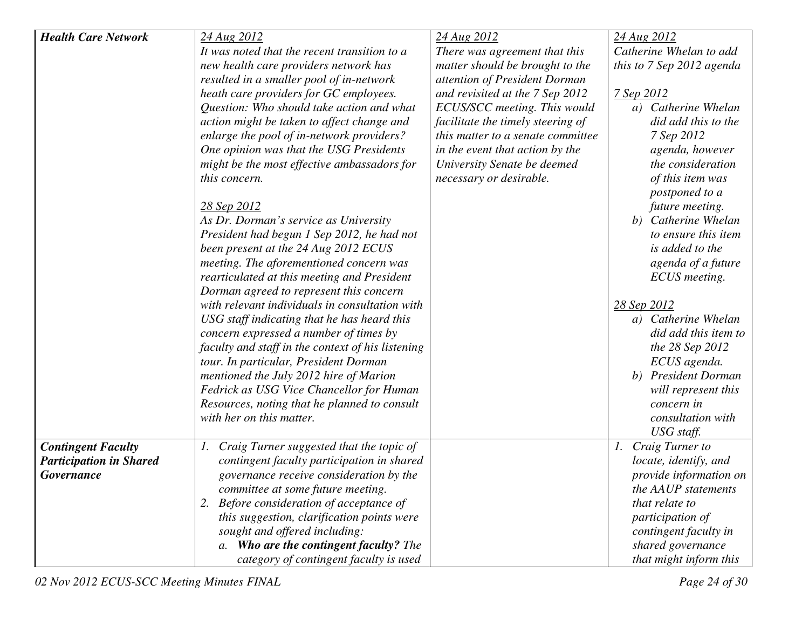| <b>Health Care Network</b>     | 24 Aug 2012                                       | 24 Aug 2012                       | 24 Aug 2012               |
|--------------------------------|---------------------------------------------------|-----------------------------------|---------------------------|
|                                | It was noted that the recent transition to a      | There was agreement that this     | Catherine Whelan to add   |
|                                | new health care providers network has             | matter should be brought to the   | this to 7 Sep 2012 agenda |
|                                | resulted in a smaller pool of in-network          | attention of President Dorman     |                           |
|                                | heath care providers for GC employees.            | and revisited at the 7 Sep 2012   | 7 Sep 2012                |
|                                | Question: Who should take action and what         | ECUS/SCC meeting. This would      | a) Catherine Whelan       |
|                                | action might be taken to affect change and        | facilitate the timely steering of | did add this to the       |
|                                | enlarge the pool of in-network providers?         | this matter to a senate committee | 7 Sep 2012                |
|                                | One opinion was that the USG Presidents           | in the event that action by the   | agenda, however           |
|                                | might be the most effective ambassadors for       | University Senate be deemed       | the consideration         |
|                                | this concern.                                     | necessary or desirable.           | of this item was          |
|                                |                                                   |                                   | postponed to a            |
|                                | 28 Sep 2012                                       |                                   | future meeting.           |
|                                | As Dr. Dorman's service as University             |                                   | b) Catherine Whelan       |
|                                | President had begun 1 Sep 2012, he had not        |                                   | to ensure this item       |
|                                | been present at the 24 Aug 2012 ECUS              |                                   | is added to the           |
|                                | meeting. The aforementioned concern was           |                                   | agenda of a future        |
|                                | rearticulated at this meeting and President       |                                   | ECUS meeting.             |
|                                | Dorman agreed to represent this concern           |                                   |                           |
|                                | with relevant individuals in consultation with    |                                   | 28 Sep 2012               |
|                                | USG staff indicating that he has heard this       |                                   | a) Catherine Whelan       |
|                                | concern expressed a number of times by            |                                   | did add this item to      |
|                                | faculty and staff in the context of his listening |                                   | the 28 Sep 2012           |
|                                | tour. In particular, President Dorman             |                                   | ECUS agenda.              |
|                                | mentioned the July 2012 hire of Marion            |                                   | b) President Dorman       |
|                                | Fedrick as USG Vice Chancellor for Human          |                                   | will represent this       |
|                                | Resources, noting that he planned to consult      |                                   | concern in                |
|                                | with her on this matter.                          |                                   | consultation with         |
|                                |                                                   |                                   | USG staff.                |
| <b>Contingent Faculty</b>      | 1. Craig Turner suggested that the topic of       |                                   | Craig Turner to<br>1.     |
| <b>Participation in Shared</b> | contingent faculty participation in shared        |                                   | locate, identify, and     |
| Governance                     | governance receive consideration by the           |                                   | provide information on    |
|                                | committee at some future meeting.                 |                                   | the AAUP statements       |
|                                | 2. Before consideration of acceptance of          |                                   | that relate to            |
|                                | this suggestion, clarification points were        |                                   | participation of          |
|                                | sought and offered including:                     |                                   | contingent faculty in     |
|                                | a. Who are the contingent faculty? The            |                                   | shared governance         |
|                                | category of contingent faculty is used            |                                   | that might inform this    |

02 Nov 2012 ECUS-SCC Meeting Minutes FINAL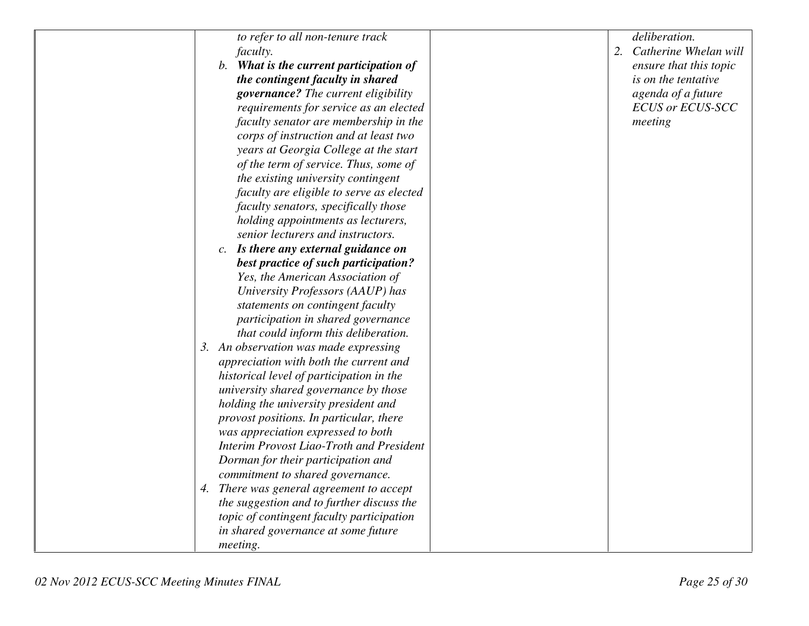| to refer to all non-tenure track          | deliberation.            |
|-------------------------------------------|--------------------------|
| <i>faculty.</i>                           | 2. Catherine Whelan will |
| b. What is the current participation of   | ensure that this topic   |
| the contingent faculty in shared          | is on the tentative      |
| governance? The current eligibility       | agenda of a future       |
| requirements for service as an elected    | <b>ECUS or ECUS-SCC</b>  |
| faculty senator are membership in the     | meeting                  |
| corps of instruction and at least two     |                          |
| years at Georgia College at the start     |                          |
| of the term of service. Thus, some of     |                          |
| the existing university contingent        |                          |
| faculty are eligible to serve as elected  |                          |
| faculty senators, specifically those      |                          |
| holding appointments as lecturers,        |                          |
| senior lecturers and instructors.         |                          |
| c. Is there any external guidance on      |                          |
| best practice of such participation?      |                          |
| Yes, the American Association of          |                          |
| University Professors (AAUP) has          |                          |
| statements on contingent faculty          |                          |
| participation in shared governance        |                          |
| that could inform this deliberation.      |                          |
| 3. An observation was made expressing     |                          |
| appreciation with both the current and    |                          |
| historical level of participation in the  |                          |
| university shared governance by those     |                          |
| holding the university president and      |                          |
| provost positions. In particular, there   |                          |
| was appreciation expressed to both        |                          |
| Interim Provost Liao-Troth and President  |                          |
| Dorman for their participation and        |                          |
| commitment to shared governance.          |                          |
| 4. There was general agreement to accept  |                          |
| the suggestion and to further discuss the |                          |
| topic of contingent faculty participation |                          |
| in shared governance at some future       |                          |
| meeting.                                  |                          |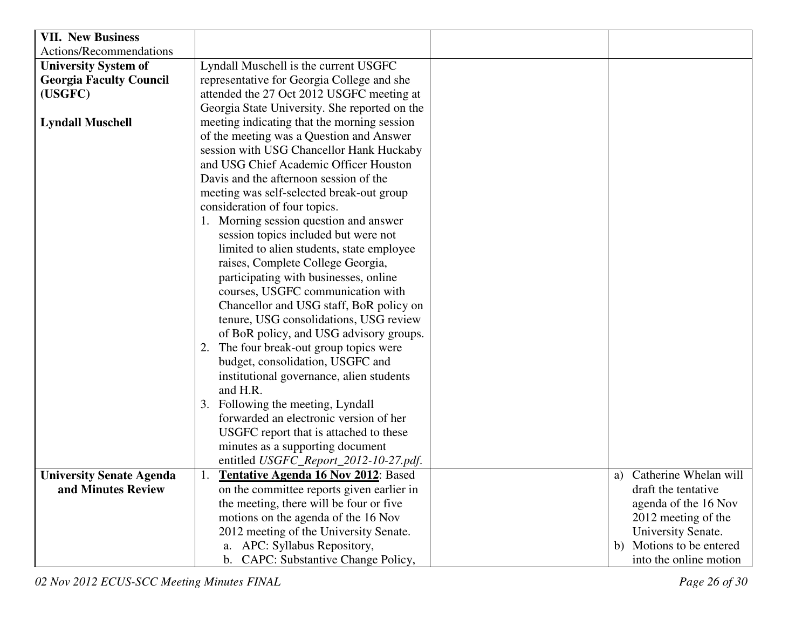| <b>VII. New Business</b>        |                                               |                             |
|---------------------------------|-----------------------------------------------|-----------------------------|
| Actions/Recommendations         |                                               |                             |
| <b>University System of</b>     | Lyndall Muschell is the current USGFC         |                             |
| <b>Georgia Faculty Council</b>  | representative for Georgia College and she    |                             |
| (USGFC)                         | attended the 27 Oct 2012 USGFC meeting at     |                             |
|                                 | Georgia State University. She reported on the |                             |
| <b>Lyndall Muschell</b>         | meeting indicating that the morning session   |                             |
|                                 | of the meeting was a Question and Answer      |                             |
|                                 | session with USG Chancellor Hank Huckaby      |                             |
|                                 | and USG Chief Academic Officer Houston        |                             |
|                                 | Davis and the afternoon session of the        |                             |
|                                 | meeting was self-selected break-out group     |                             |
|                                 | consideration of four topics.                 |                             |
|                                 | 1. Morning session question and answer        |                             |
|                                 | session topics included but were not          |                             |
|                                 | limited to alien students, state employee     |                             |
|                                 | raises, Complete College Georgia,             |                             |
|                                 | participating with businesses, online         |                             |
|                                 | courses, USGFC communication with             |                             |
|                                 | Chancellor and USG staff, BoR policy on       |                             |
|                                 | tenure, USG consolidations, USG review        |                             |
|                                 | of BoR policy, and USG advisory groups.       |                             |
|                                 | 2. The four break-out group topics were       |                             |
|                                 | budget, consolidation, USGFC and              |                             |
|                                 | institutional governance, alien students      |                             |
|                                 | and H.R.                                      |                             |
|                                 | 3. Following the meeting, Lyndall             |                             |
|                                 | forwarded an electronic version of her        |                             |
|                                 | USGFC report that is attached to these        |                             |
|                                 | minutes as a supporting document              |                             |
|                                 | entitled USGFC_Report_2012-10-27.pdf.         |                             |
| <b>University Senate Agenda</b> | <b>Tentative Agenda 16 Nov 2012: Based</b>    | a) Catherine Whelan will    |
| and Minutes Review              | on the committee reports given earlier in     | draft the tentative         |
|                                 | the meeting, there will be four or five       | agenda of the 16 Nov        |
|                                 | motions on the agenda of the 16 Nov           | 2012 meeting of the         |
|                                 | 2012 meeting of the University Senate.        | University Senate.          |
|                                 | a. APC: Syllabus Repository,                  | Motions to be entered<br>b) |
|                                 | b. CAPC: Substantive Change Policy,           | into the online motion      |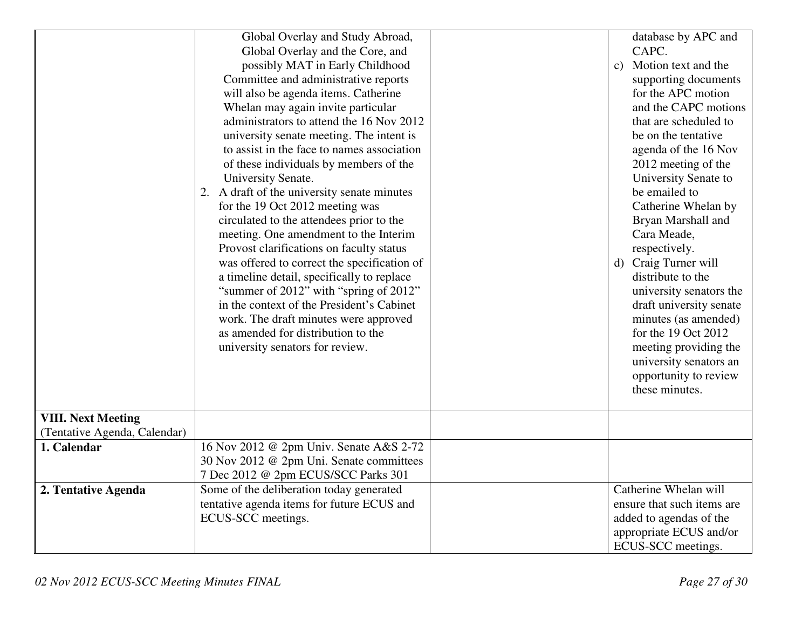|                              | Global Overlay and Study Abroad,            |                     | database by APC and        |  |  |
|------------------------------|---------------------------------------------|---------------------|----------------------------|--|--|
|                              | Global Overlay and the Core, and            |                     | CAPC.                      |  |  |
|                              | possibly MAT in Early Childhood             |                     | Motion text and the<br>c)  |  |  |
|                              | Committee and administrative reports        |                     | supporting documents       |  |  |
|                              | will also be agenda items. Catherine        |                     | for the APC motion         |  |  |
|                              | Whelan may again invite particular          |                     | and the CAPC motions       |  |  |
|                              | administrators to attend the 16 Nov 2012    |                     | that are scheduled to      |  |  |
|                              | university senate meeting. The intent is    |                     | be on the tentative        |  |  |
|                              | to assist in the face to names association  |                     | agenda of the 16 Nov       |  |  |
|                              | of these individuals by members of the      | 2012 meeting of the |                            |  |  |
|                              | University Senate.                          |                     | University Senate to       |  |  |
|                              | 2. A draft of the university senate minutes |                     | be emailed to              |  |  |
|                              | for the 19 Oct 2012 meeting was             |                     | Catherine Whelan by        |  |  |
|                              | circulated to the attendees prior to the    |                     | Bryan Marshall and         |  |  |
|                              | meeting. One amendment to the Interim       |                     | Cara Meade,                |  |  |
|                              | Provost clarifications on faculty status    |                     | respectively.              |  |  |
|                              | was offered to correct the specification of |                     | Craig Turner will<br>d)    |  |  |
|                              | a timeline detail, specifically to replace  |                     | distribute to the          |  |  |
|                              | "summer of 2012" with "spring of 2012"      |                     | university senators the    |  |  |
|                              | in the context of the President's Cabinet   |                     | draft university senate    |  |  |
|                              | work. The draft minutes were approved       |                     | minutes (as amended)       |  |  |
|                              | as amended for distribution to the          |                     | for the 19 Oct 2012        |  |  |
|                              | university senators for review.             |                     | meeting providing the      |  |  |
|                              |                                             |                     | university senators an     |  |  |
|                              |                                             |                     | opportunity to review      |  |  |
|                              |                                             |                     | these minutes.             |  |  |
|                              |                                             |                     |                            |  |  |
| <b>VIII. Next Meeting</b>    |                                             |                     |                            |  |  |
| (Tentative Agenda, Calendar) |                                             |                     |                            |  |  |
| 1. Calendar                  | 16 Nov 2012 @ 2pm Univ. Senate A&S 2-72     |                     |                            |  |  |
|                              | 30 Nov 2012 @ 2pm Uni. Senate committees    |                     |                            |  |  |
|                              | 7 Dec 2012 @ 2pm ECUS/SCC Parks 301         |                     |                            |  |  |
| 2. Tentative Agenda          | Some of the deliberation today generated    |                     | Catherine Whelan will      |  |  |
|                              | tentative agenda items for future ECUS and  |                     | ensure that such items are |  |  |
|                              | ECUS-SCC meetings.                          |                     | added to agendas of the    |  |  |
|                              |                                             |                     | appropriate ECUS and/or    |  |  |
|                              |                                             |                     | ECUS-SCC meetings.         |  |  |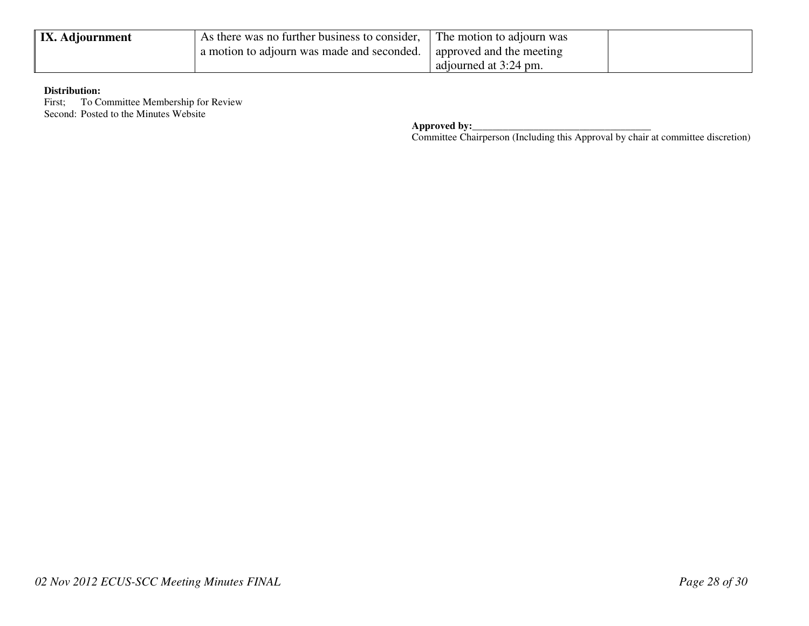| <b>IX.</b> Adjournment | As there was no further business to consider, | The motion to adjourn was |  |
|------------------------|-----------------------------------------------|---------------------------|--|
|                        | a motion to adjourn was made and seconded.    | approved and the meeting  |  |
|                        |                                               | adjourned at 3:24 pm.     |  |

### **Distribution:**

First; To Committee Membership for Review Second: Posted to the Minutes Website

**Approved by:**<br> **Committee Chairperson (Including this Approval by chair at committee discretion)**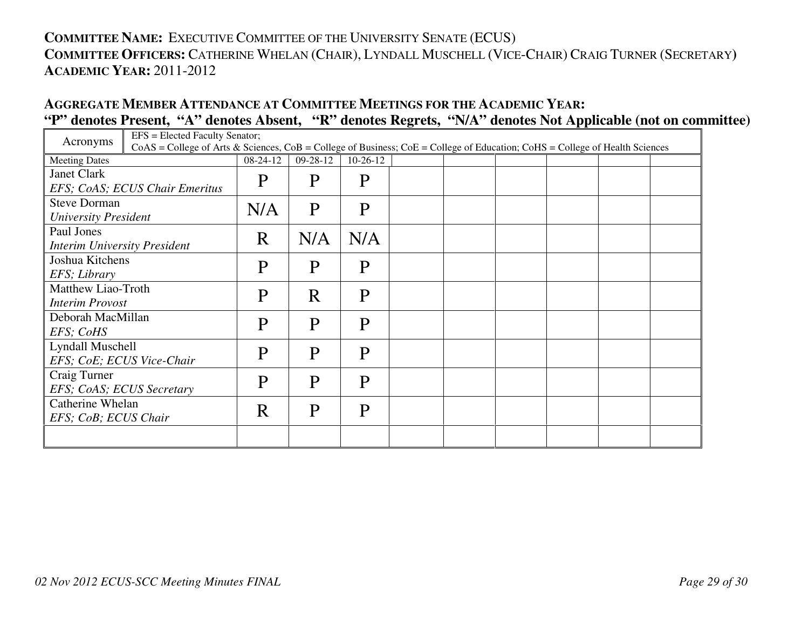# **COMMITTEE NAME:** <sup>E</sup>XECUTIVE COMMITTEE OF THE UNIVERSITY SENATE (ECUS) **COMMITTEE OFFICERS:** <sup>C</sup>ATHERINE WHELAN (CHAIR), <sup>L</sup>YNDALL MUSCHELL (VICE-CHAIR) <sup>C</sup>RAIG TURNER (SECRETARY**) ACADEMIC YEAR:** 2011-2012

## **AGGREGATE MEMBER ATTENDANCE AT COMMITTEE MEETINGS FOR THE ACADEMIC YEAR: "P" denotes Present, "A" denotes Absent, "R" denotes Regrets, "N/A" denotes Not Applicable (not on committee)**

| Acronyms                            | EFS = Elected Faculty Senator;                                                                                                      |             |                |              |  |  |  |
|-------------------------------------|-------------------------------------------------------------------------------------------------------------------------------------|-------------|----------------|--------------|--|--|--|
|                                     | $CoAS = College$ of Arts & Sciences, $CoB = College$ of Business; $CoE = College$ of Education; $CoHS = College$ of Health Sciences |             |                |              |  |  |  |
| <b>Meeting Dates</b>                |                                                                                                                                     | 08-24-12    | $09 - 28 - 12$ | $10-26-12$   |  |  |  |
| Janet Clark                         |                                                                                                                                     | $\mathbf P$ | P              | P            |  |  |  |
|                                     | EFS; CoAS; ECUS Chair Emeritus                                                                                                      |             |                |              |  |  |  |
| <b>Steve Dorman</b>                 |                                                                                                                                     | N/A         | P              | P            |  |  |  |
| <b>University President</b>         |                                                                                                                                     |             |                |              |  |  |  |
| Paul Jones                          |                                                                                                                                     | R           | N/A            | N/A          |  |  |  |
| <b>Interim University President</b> |                                                                                                                                     |             |                |              |  |  |  |
| Joshua Kitchens                     |                                                                                                                                     | P           | P              | P            |  |  |  |
| EFS; Library                        |                                                                                                                                     |             |                |              |  |  |  |
| Matthew Liao-Troth                  |                                                                                                                                     | P           | R              | $\mathbf{P}$ |  |  |  |
| <b>Interim Provost</b>              |                                                                                                                                     |             |                |              |  |  |  |
| Deborah MacMillan                   | P                                                                                                                                   |             | P              | P            |  |  |  |
| EFS; CoHS                           |                                                                                                                                     |             |                |              |  |  |  |
| Lyndall Muschell                    |                                                                                                                                     | P           | P              | $\mathsf{P}$ |  |  |  |
| EFS; CoE; ECUS Vice-Chair           |                                                                                                                                     |             |                |              |  |  |  |
| Craig Turner                        |                                                                                                                                     | P           |                |              |  |  |  |
| EFS; CoAS; ECUS Secretary           |                                                                                                                                     |             | P              | P            |  |  |  |
| Catherine Whelan                    |                                                                                                                                     |             |                |              |  |  |  |
| EFS; CoB; ECUS Chair                |                                                                                                                                     | R           | P              | P            |  |  |  |
|                                     |                                                                                                                                     |             |                |              |  |  |  |
|                                     |                                                                                                                                     |             |                |              |  |  |  |